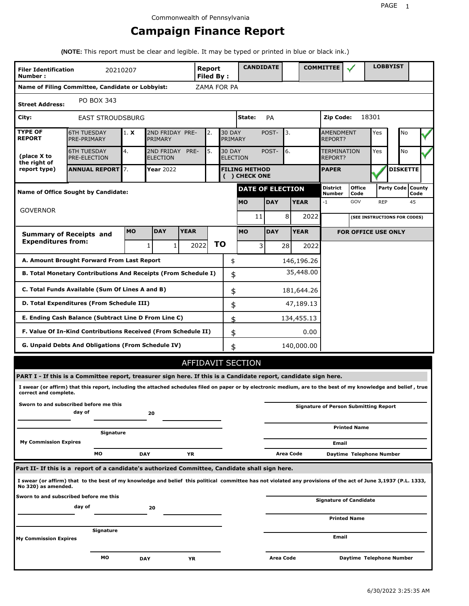# **Campaign Finance Report**

**(NOTE:** This report must be clear and legible. It may be typed or printed in blue or black ink.)

| <b>Filer Identification</b><br>Number: |                                                                                                                                                                 | 20210207  |                               |             | Report<br><b>Filed By:</b> |                                  | <b>CANDIDATE</b>                      |   |            |           |             | <b>COMMITTEE</b>                   |                                              |            | <b>LOBBYIST</b> |                             |  |
|----------------------------------------|-----------------------------------------------------------------------------------------------------------------------------------------------------------------|-----------|-------------------------------|-------------|----------------------------|----------------------------------|---------------------------------------|---|------------|-----------|-------------|------------------------------------|----------------------------------------------|------------|-----------------|-----------------------------|--|
|                                        | Name of Filing Committee, Candidate or Lobbyist:                                                                                                                |           |                               |             | ZAMA FOR PA                |                                  |                                       |   |            |           |             |                                    |                                              |            |                 |                             |  |
| <b>Street Address:</b>                 | PO BOX 343                                                                                                                                                      |           |                               |             |                            |                                  |                                       |   |            |           |             |                                    |                                              |            |                 |                             |  |
| City:                                  | <b>EAST STROUDSBURG</b>                                                                                                                                         |           |                               |             |                            |                                  | State:                                |   | PA         |           |             | Zip Code:                          |                                              | 18301      |                 |                             |  |
| <b>TYPE OF</b><br><b>REPORT</b>        | <b>6TH TUESDAY</b><br>PRE-PRIMARY                                                                                                                               | 1. X      | 2ND FRIDAY PRE-<br>PRIMARY    |             | 2.                         | <b>30 DAY</b><br>PRIMARY         |                                       |   | POST-      | 3.        |             | <b>AMENDMENT</b><br><b>REPORT?</b> |                                              | Yes        |                 | No                          |  |
| (place X to<br>the right of            | <b>6TH TUESDAY</b><br><b>PRE-ELECTION</b>                                                                                                                       | 4.        | 2ND FRIDAY<br><b>ELECTION</b> | PRE-        | 5.                         | <b>30 DAY</b><br><b>ELECTION</b> |                                       |   | POST-      | 6.        |             | <b>TERMINATION</b><br>REPORT?      |                                              | Yes        |                 | <b>No</b>                   |  |
| report type)                           | <b>ANNUAL REPORT 7.</b>                                                                                                                                         |           | Year 2022                     |             |                            |                                  | <b>FILING METHOD</b><br>( ) CHECK ONE |   |            |           |             | <b>PAPER</b>                       |                                              |            |                 | <b>DISKETTE</b>             |  |
|                                        | <b>Name of Office Sought by Candidate:</b>                                                                                                                      |           |                               |             |                            |                                  | <b>DATE OF ELECTION</b>               |   |            |           |             | District<br>Number                 | <b>Office</b><br>Code                        |            |                 | Party Code   County<br>Code |  |
|                                        |                                                                                                                                                                 |           |                               |             |                            |                                  | <b>MO</b>                             |   | <b>DAY</b> |           | <b>YEAR</b> | -1                                 | GOV                                          | <b>REP</b> |                 | 45                          |  |
| <b>GOVERNOR</b>                        |                                                                                                                                                                 |           |                               |             |                            |                                  | 11                                    |   | 8          |           | 2022        |                                    | (SEE INSTRUCTIONS FOR CODES)                 |            |                 |                             |  |
|                                        | <b>Summary of Receipts and</b>                                                                                                                                  | <b>MO</b> | <b>DAY</b>                    | <b>YEAR</b> |                            |                                  | <b>MO</b>                             |   | <b>DAY</b> |           | <b>YEAR</b> |                                    | <b>FOR OFFICE USE ONLY</b>                   |            |                 |                             |  |
| <b>Expenditures from:</b>              |                                                                                                                                                                 |           | 1                             | 1           | 2022                       | ΤO                               |                                       | 3 | 28         |           | 2022        |                                    |                                              |            |                 |                             |  |
|                                        | A. Amount Brought Forward From Last Report                                                                                                                      |           |                               |             |                            | \$                               |                                       |   |            |           | 146,196.26  |                                    |                                              |            |                 |                             |  |
|                                        | B. Total Monetary Contributions And Receipts (From Schedule I)                                                                                                  |           |                               |             |                            | \$                               |                                       |   |            |           | 35,448.00   |                                    |                                              |            |                 |                             |  |
|                                        | C. Total Funds Available (Sum Of Lines A and B)                                                                                                                 |           |                               |             |                            | \$                               |                                       |   |            |           | 181,644.26  |                                    |                                              |            |                 |                             |  |
|                                        | D. Total Expenditures (From Schedule III)                                                                                                                       |           |                               |             |                            | \$                               |                                       |   |            |           | 47,189.13   |                                    |                                              |            |                 |                             |  |
|                                        | E. Ending Cash Balance (Subtract Line D From Line C)                                                                                                            |           |                               |             |                            | \$                               |                                       |   |            |           | 134,455.13  |                                    |                                              |            |                 |                             |  |
|                                        | F. Value Of In-Kind Contributions Received (From Schedule II)                                                                                                   |           |                               |             |                            | \$                               |                                       |   |            |           | 0.00        |                                    |                                              |            |                 |                             |  |
|                                        | G. Unpaid Debts And Obligations (From Schedule IV)                                                                                                              |           |                               |             |                            | \$                               |                                       |   |            |           | 140,000.00  |                                    |                                              |            |                 |                             |  |
|                                        |                                                                                                                                                                 |           |                               |             |                            |                                  | AFFIDAVIT SECTION                     |   |            |           |             |                                    |                                              |            |                 |                             |  |
|                                        | PART I - If this is a Committee report, treasurer sign here. If this is a Candidate report, candidate sign here.                                                |           |                               |             |                            |                                  |                                       |   |            |           |             |                                    |                                              |            |                 |                             |  |
| correct and complete.                  | I swear (or affirm) that this report, including the attached schedules filed on paper or by electronic medium, are to the best of my knowledge and belief, true |           |                               |             |                            |                                  |                                       |   |            |           |             |                                    |                                              |            |                 |                             |  |
|                                        | Sworn to and subscribed before me this<br>day of                                                                                                                |           | 20                            |             |                            |                                  |                                       |   |            |           |             |                                    | <b>Signature of Person Submitting Report</b> |            |                 |                             |  |
|                                        | Signature                                                                                                                                                       |           |                               |             |                            |                                  |                                       |   |            |           |             |                                    | <b>Printed Name</b>                          |            |                 |                             |  |
| <b>My Commission Expires</b>           |                                                                                                                                                                 |           |                               |             |                            |                                  |                                       |   |            |           |             | Email                              |                                              |            |                 |                             |  |
|                                        | МO                                                                                                                                                              |           | <b>DAY</b>                    | ΥR          |                            |                                  |                                       |   |            | Area Code |             |                                    | Daytime Telephone Number                     |            |                 |                             |  |
|                                        | Part II- If this is a report of a candidate's authorized Committee, Candidate shall sign here.                                                                  |           |                               |             |                            |                                  |                                       |   |            |           |             |                                    |                                              |            |                 |                             |  |
| No 320) as amended.                    | I swear (or affirm) that to the best of my knowledge and belief this political committee has not violated any provisions of the act of June 3,1937 (P.L. 1333,  |           |                               |             |                            |                                  |                                       |   |            |           |             |                                    |                                              |            |                 |                             |  |
|                                        | Sworn to and subscribed before me this<br>day of                                                                                                                |           | 20                            |             |                            |                                  |                                       |   |            |           |             |                                    | <b>Signature of Candidate</b>                |            |                 |                             |  |
|                                        |                                                                                                                                                                 |           |                               |             |                            |                                  |                                       |   |            |           |             |                                    | <b>Printed Name</b>                          |            |                 |                             |  |
| <b>My Commission Expires</b>           | Signature                                                                                                                                                       |           |                               |             |                            |                                  |                                       |   |            |           |             | Email                              |                                              |            |                 |                             |  |
|                                        | мо                                                                                                                                                              |           |                               |             |                            |                                  |                                       |   | Area Code  |           |             |                                    | Daytime Telephone Number                     |            |                 |                             |  |
|                                        |                                                                                                                                                                 |           | <b>DAY</b>                    | ΥR          |                            |                                  |                                       |   |            |           |             |                                    |                                              |            |                 |                             |  |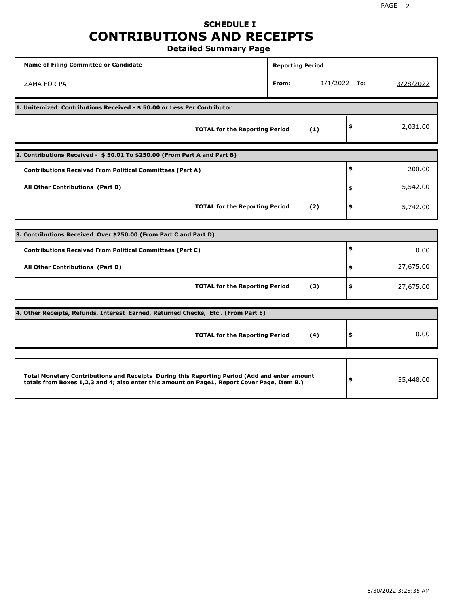# **SCHEDULE I CONTRIBUTIONS AND RECEIPTS**

**Detailed Summary Page**

| <b>Name of Filing Committee or Candidate</b>                                                                                                                                                | <b>Reporting Period</b> |                |           |
|---------------------------------------------------------------------------------------------------------------------------------------------------------------------------------------------|-------------------------|----------------|-----------|
| ZAMA FOR PA                                                                                                                                                                                 | From:                   | $1/1/2022$ To: | 3/28/2022 |
| 1. Unitemized Contributions Received - \$50.00 or Less Per Contributor                                                                                                                      |                         |                |           |
| <b>TOTAL for the Reporting Period</b>                                                                                                                                                       | (1)                     | \$             | 2,031.00  |
| 2. Contributions Received - \$50.01 To \$250.00 (From Part A and Part B)                                                                                                                    |                         |                |           |
| <b>Contributions Received From Political Committees (Part A)</b>                                                                                                                            |                         | \$             | 200.00    |
| All Other Contributions (Part B)                                                                                                                                                            |                         | \$             | 5,542.00  |
| <b>TOTAL for the Reporting Period</b>                                                                                                                                                       | (2)                     | \$             | 5,742.00  |
| 3. Contributions Received Over \$250.00 (From Part C and Part D)                                                                                                                            |                         |                |           |
| <b>Contributions Received From Political Committees (Part C)</b>                                                                                                                            |                         | \$             | 0.00      |
|                                                                                                                                                                                             |                         |                |           |
| All Other Contributions (Part D)                                                                                                                                                            |                         | \$             | 27,675.00 |
| <b>TOTAL for the Reporting Period</b>                                                                                                                                                       | (3)                     | \$             | 27,675.00 |
| 4. Other Receipts, Refunds, Interest Earned, Returned Checks, Etc. (From Part E)                                                                                                            |                         |                |           |
| <b>TOTAL for the Reporting Period</b>                                                                                                                                                       | (4)                     | \$             | 0.00      |
|                                                                                                                                                                                             |                         |                |           |
| Total Monetary Contributions and Receipts During this Reporting Period (Add and enter amount<br>totals from Boxes 1,2,3 and 4; also enter this amount on Page1, Report Cover Page, Item B.) |                         | \$             | 35,448.00 |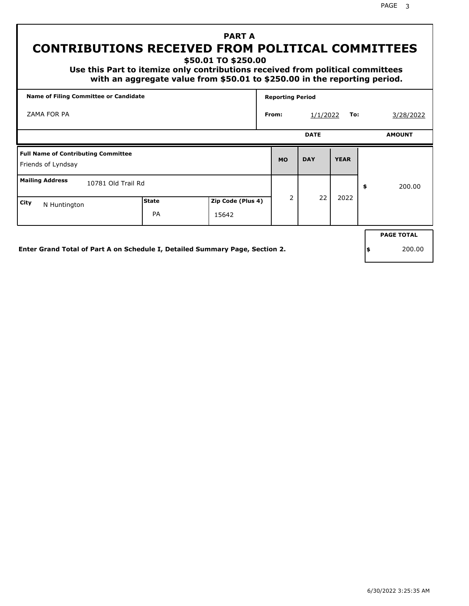# **PART A CONTRIBUTIONS RECEIVED FROM POLITICAL COMMITTEES**

**\$50.01 TO \$250.00**

 **Use this Part to itemize only contributions received from political committees with an aggregate value from \$50.01 to \$250.00 in the reporting period.**

| <b>Name of Filing Committee or Candidate</b>                     |              |                   | <b>Reporting Period</b> |             |             |                   |
|------------------------------------------------------------------|--------------|-------------------|-------------------------|-------------|-------------|-------------------|
| ZAMA FOR PA                                                      |              |                   | From:                   | 1/1/2022    | To:         | 3/28/2022         |
|                                                                  |              |                   |                         | <b>DATE</b> |             | <b>AMOUNT</b>     |
| <b>Full Name of Contributing Committee</b><br>Friends of Lyndsay |              |                   | <b>MO</b>               | <b>DAY</b>  | <b>YEAR</b> |                   |
| <b>Mailing Address</b><br>10781 Old Trail Rd                     |              |                   |                         |             |             | \$<br>200.00      |
| City<br>N Huntington                                             | <b>State</b> | Zip Code (Plus 4) | $\overline{2}$          | 22          | 2022        |                   |
|                                                                  | <b>PA</b>    | 15642             |                         |             |             |                   |
|                                                                  |              |                   |                         |             |             | <b>PAGE TOTAL</b> |

**Enter Grand Total of Part A on Schedule I, Detailed Summary Page, Section 2.**

PAGE 3

**\$** 200.00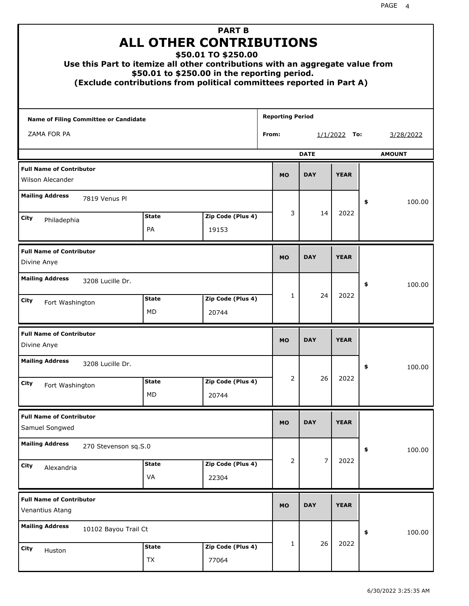| Use this Part to itemize all other contributions with an aggregate value from |                           | <b>PART B</b><br><b>ALL OTHER CONTRIBUTIONS</b><br>\$50.01 TO \$250.00<br>\$50.01 to \$250.00 in the reporting period.<br>(Exclude contributions from political committees reported in Part A) |                         |             |                |    |               |
|-------------------------------------------------------------------------------|---------------------------|------------------------------------------------------------------------------------------------------------------------------------------------------------------------------------------------|-------------------------|-------------|----------------|----|---------------|
| Name of Filing Committee or Candidate                                         |                           |                                                                                                                                                                                                | <b>Reporting Period</b> |             |                |    |               |
| ZAMA FOR PA                                                                   |                           |                                                                                                                                                                                                | From:                   |             | $1/1/2022$ To: |    | 3/28/2022     |
|                                                                               |                           |                                                                                                                                                                                                |                         | <b>DATE</b> |                |    | <b>AMOUNT</b> |
| <b>Full Name of Contributor</b><br>Wilson Alecander                           |                           |                                                                                                                                                                                                | <b>MO</b>               | <b>DAY</b>  | <b>YEAR</b>    |    |               |
| <b>Mailing Address</b><br>7819 Venus Pl                                       |                           |                                                                                                                                                                                                |                         |             |                | \$ | 100.00        |
| City                                                                          | <b>State</b>              | Zip Code (Plus 4)                                                                                                                                                                              | 3                       | 14          | 2022           |    |               |
| Philadephia                                                                   | PA                        | 19153                                                                                                                                                                                          |                         |             |                |    |               |
| <b>Full Name of Contributor</b><br>Divine Anye                                |                           |                                                                                                                                                                                                | <b>MO</b>               | <b>DAY</b>  | <b>YEAR</b>    |    |               |
| <b>Mailing Address</b><br>3208 Lucille Dr.                                    |                           |                                                                                                                                                                                                |                         |             |                | \$ | 100.00        |
| City<br>Fort Washington                                                       | <b>State</b><br>MD        | Zip Code (Plus 4)<br>20744                                                                                                                                                                     | 1                       | 24          | 2022           |    |               |
| <b>Full Name of Contributor</b><br>Divine Anye                                |                           |                                                                                                                                                                                                | <b>MO</b>               | <b>DAY</b>  | <b>YEAR</b>    |    |               |
| <b>Mailing Address</b><br>3208 Lucille Dr.                                    |                           |                                                                                                                                                                                                |                         |             |                | ≯  | 100.00        |
| City<br>Fort Washington                                                       | <b>State</b><br>MD        | Zip Code (Plus 4)<br>20744                                                                                                                                                                     | 2                       | 26          | 2022           |    |               |
| <b>Full Name of Contributor</b><br>Samuel Songwed                             |                           |                                                                                                                                                                                                | <b>MO</b>               | <b>DAY</b>  | <b>YEAR</b>    |    |               |
| <b>Mailing Address</b><br>270 Stevenson sq.S.0                                |                           |                                                                                                                                                                                                |                         |             |                | \$ | 100.00        |
| City<br>Alexandria                                                            | <b>State</b><br>VA        | Zip Code (Plus 4)<br>22304                                                                                                                                                                     | 2                       | 7           | 2022           |    |               |
| <b>Full Name of Contributor</b><br>Venantius Atang                            |                           |                                                                                                                                                                                                | <b>MO</b>               | <b>DAY</b>  | <b>YEAR</b>    |    |               |
| <b>Mailing Address</b><br>10102 Bayou Trail Ct                                |                           |                                                                                                                                                                                                |                         |             |                | \$ | 100.00        |
| City<br>Huston                                                                | <b>State</b><br><b>TX</b> | Zip Code (Plus 4)<br>77064                                                                                                                                                                     | 1                       | 26          | 2022           |    |               |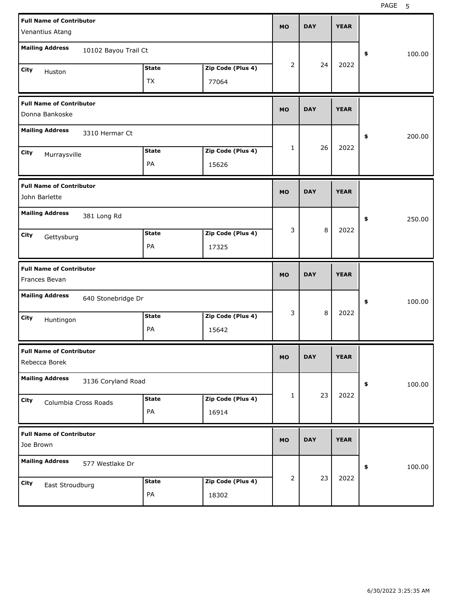| <b>Full Name of Contributor</b>                  |              |                   | <b>MO</b> | <b>DAY</b> | <b>YEAR</b> |              |
|--------------------------------------------------|--------------|-------------------|-----------|------------|-------------|--------------|
| Venantius Atang                                  |              |                   |           |            |             |              |
| <b>Mailing Address</b><br>10102 Bayou Trail Ct   |              |                   |           |            |             | \$<br>100.00 |
| City<br>Huston                                   | <b>State</b> | Zip Code (Plus 4) | 2         | 24         | 2022        |              |
|                                                  | <b>TX</b>    | 77064             |           |            |             |              |
| <b>Full Name of Contributor</b>                  |              |                   | <b>MO</b> | <b>DAY</b> | <b>YEAR</b> |              |
| Donna Bankoske                                   |              |                   |           |            |             |              |
| <b>Mailing Address</b><br>3310 Hermar Ct         |              |                   |           |            |             | \$<br>200.00 |
| City<br>Murraysville                             | <b>State</b> | Zip Code (Plus 4) | 1         | 26         | 2022        |              |
|                                                  | PA           | 15626             |           |            |             |              |
| <b>Full Name of Contributor</b><br>John Barlette |              |                   | <b>MO</b> | <b>DAY</b> | <b>YEAR</b> |              |
| <b>Mailing Address</b><br>381 Long Rd            |              |                   |           |            |             | \$<br>250.00 |
| City<br>Gettysburg                               | <b>State</b> | Zip Code (Plus 4) | 3         | 8          | 2022        |              |
|                                                  | PA           | 17325             |           |            |             |              |
|                                                  |              |                   |           |            |             |              |
| <b>Full Name of Contributor</b><br>Frances Bevan |              |                   | <b>MO</b> | <b>DAY</b> | <b>YEAR</b> |              |
| <b>Mailing Address</b><br>640 Stonebridge Dr     |              |                   |           |            |             | \$<br>100.00 |
| City                                             | <b>State</b> | Zip Code (Plus 4) | 3         | 8          | 2022        |              |
| Huntingon                                        | PA           | 15642             |           |            |             |              |
| <b>Full Name of Contributor</b><br>Rebecca Borek |              |                   | <b>MO</b> | <b>DAY</b> | <b>YEAR</b> |              |
| <b>Mailing Address</b><br>3136 Coryland Road     |              |                   |           |            |             | 100.00<br>\$ |
| City                                             | <b>State</b> | Zip Code (Plus 4) | 1         | 23         | 2022        |              |
| Columbia Cross Roads                             | PA           | 16914             |           |            |             |              |
| <b>Full Name of Contributor</b><br>Joe Brown     |              |                   | <b>MO</b> | <b>DAY</b> | <b>YEAR</b> |              |
| <b>Mailing Address</b><br>577 Westlake Dr        |              |                   |           |            |             | 100.00<br>\$ |
| City<br>East Stroudburg                          | <b>State</b> | Zip Code (Plus 4) | 2         | 23         | 2022        |              |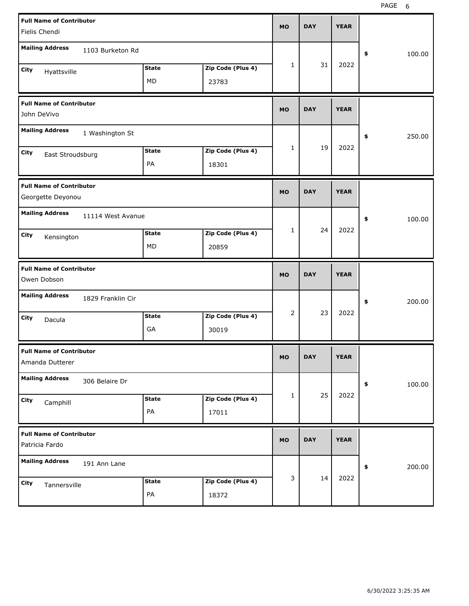| <b>Full Name of Contributor</b><br>Fielis Chendi     |                   |                    |                            | <b>MO</b> | <b>DAY</b> | <b>YEAR</b> |              |
|------------------------------------------------------|-------------------|--------------------|----------------------------|-----------|------------|-------------|--------------|
| <b>Mailing Address</b>                               | 1103 Burketon Rd  |                    |                            |           |            |             | \$<br>100.00 |
| City<br>Hyattsville                                  |                   | <b>State</b><br>MD | Zip Code (Plus 4)<br>23783 | 1         | 31         | 2022        |              |
| <b>Full Name of Contributor</b><br>John DeVivo       |                   |                    |                            | <b>MO</b> | <b>DAY</b> | <b>YEAR</b> |              |
| <b>Mailing Address</b>                               | 1 Washington St   |                    |                            |           |            |             | \$<br>250.00 |
| City<br>East Stroudsburg                             |                   | <b>State</b><br>PA | Zip Code (Plus 4)<br>18301 | 1         | 19         | 2022        |              |
| <b>Full Name of Contributor</b><br>Georgette Deyonou |                   |                    |                            | <b>MO</b> | <b>DAY</b> | <b>YEAR</b> |              |
| <b>Mailing Address</b>                               | 11114 West Avanue |                    |                            |           |            |             | \$<br>100.00 |
| City<br>Kensington                                   |                   | <b>State</b><br>МD | Zip Code (Plus 4)<br>20859 | 1         | 24         | 2022        |              |
|                                                      |                   |                    |                            |           |            |             |              |
| <b>Full Name of Contributor</b><br>Owen Dobson       |                   |                    |                            | <b>MO</b> | <b>DAY</b> | <b>YEAR</b> |              |
| <b>Mailing Address</b>                               | 1829 Franklin Cir |                    |                            |           |            |             | \$<br>200.00 |
| City<br>Dacula                                       |                   | <b>State</b><br>GА | Zip Code (Plus 4)<br>30019 | 2         | 23         | 2022        |              |
| <b>Full Name of Contributor</b><br>Amanda Dutterer   |                   |                    |                            | <b>MO</b> | <b>DAY</b> | <b>YEAR</b> |              |
| <b>Mailing Address</b>                               | 306 Belaire Dr    |                    |                            |           |            |             | \$<br>100.00 |
| City<br>Camphill                                     |                   | <b>State</b><br>PA | Zip Code (Plus 4)<br>17011 | 1         | 25         | 2022        |              |
| <b>Full Name of Contributor</b><br>Patricia Fardo    |                   |                    |                            | <b>MO</b> | <b>DAY</b> | <b>YEAR</b> |              |
| <b>Mailing Address</b>                               | 191 Ann Lane      |                    |                            |           | 14         | 2022        | 200.00<br>\$ |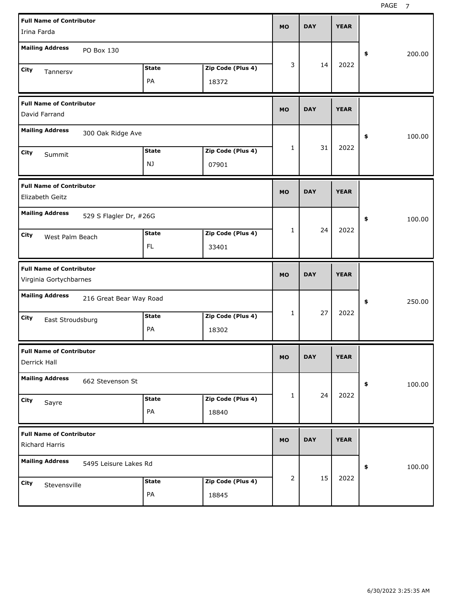| <b>Full Name of Contributor</b><br>Irina Farda                              |                    |                            | <b>MO</b> | <b>DAY</b> | <b>YEAR</b> |              |
|-----------------------------------------------------------------------------|--------------------|----------------------------|-----------|------------|-------------|--------------|
| <b>Mailing Address</b><br>PO Box 130                                        |                    |                            |           |            |             | 200.00<br>\$ |
| City<br>Tannersv                                                            | <b>State</b><br>PA | Zip Code (Plus 4)<br>18372 | 3         | 14         | 2022        |              |
| <b>Full Name of Contributor</b><br>David Farrand                            |                    |                            | <b>MO</b> | <b>DAY</b> | <b>YEAR</b> |              |
| <b>Mailing Address</b><br>300 Oak Ridge Ave                                 |                    |                            |           |            |             | \$<br>100.00 |
| City<br>Summit                                                              | <b>State</b><br>NJ | Zip Code (Plus 4)<br>07901 | 1         | 31         | 2022        |              |
| <b>Full Name of Contributor</b><br>Elizabeth Geitz                          |                    |                            | <b>MO</b> | <b>DAY</b> | <b>YEAR</b> |              |
| <b>Mailing Address</b><br>529 S Flagler Dr, #26G<br>City<br>West Palm Beach | <b>State</b><br>FL | Zip Code (Plus 4)<br>33401 | 1         | 24         | 2022        | 100.00<br>\$ |
|                                                                             |                    |                            |           |            |             |              |
| <b>Full Name of Contributor</b><br>Virginia Gortychbarnes                   |                    |                            | <b>MO</b> | <b>DAY</b> | <b>YEAR</b> |              |
| <b>Mailing Address</b><br>216 Great Bear Way Road                           |                    |                            |           |            |             | \$<br>250.00 |
| City<br>East Stroudsburg                                                    | <b>State</b><br>PA | Zip Code (Plus 4)<br>18302 | 1         | 27         | 2022        |              |
| <b>Full Name of Contributor</b><br>Derrick Hall                             |                    |                            | МO        | <b>DAY</b> | <b>YEAR</b> |              |
| <b>Mailing Address</b><br>662 Stevenson St                                  |                    |                            |           |            |             | \$<br>100.00 |
| City<br>Sayre                                                               | <b>State</b><br>PA | Zip Code (Plus 4)<br>18840 | 1         | 24         | 2022        |              |
| <b>Full Name of Contributor</b><br>Richard Harris                           |                    |                            | <b>MO</b> | <b>DAY</b> | <b>YEAR</b> |              |
| <b>Mailing Address</b><br>5495 Leisure Lakes Rd                             |                    |                            | 2         | 15         | 2022        | \$<br>100.00 |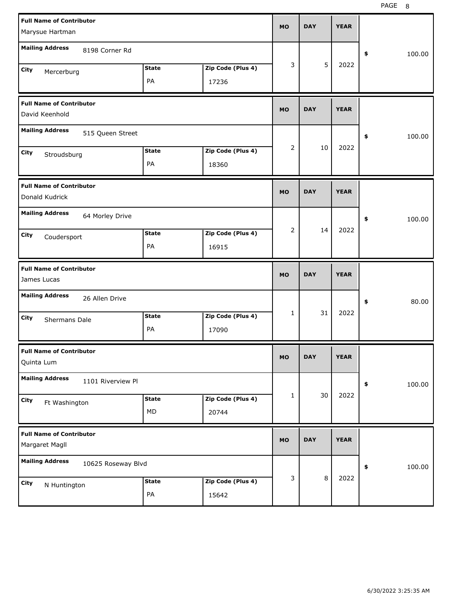| <b>Full Name of Contributor</b>                   |              |                   | <b>MO</b> | <b>DAY</b> | <b>YEAR</b> |              |
|---------------------------------------------------|--------------|-------------------|-----------|------------|-------------|--------------|
| Marysue Hartman                                   |              |                   |           |            |             |              |
| <b>Mailing Address</b><br>8198 Corner Rd          |              |                   |           |            |             | \$<br>100.00 |
| City<br>Mercerburg                                | <b>State</b> | Zip Code (Plus 4) | 3         | 5          | 2022        |              |
|                                                   | PA           | 17236             |           |            |             |              |
| <b>Full Name of Contributor</b><br>David Keenhold |              |                   | <b>MO</b> | <b>DAY</b> | <b>YEAR</b> |              |
| <b>Mailing Address</b><br>515 Queen Street        |              |                   |           |            |             | \$<br>100.00 |
| City<br>Stroudsburg                               | <b>State</b> | Zip Code (Plus 4) | 2         | 10         | 2022        |              |
|                                                   | PA           | 18360             |           |            |             |              |
| <b>Full Name of Contributor</b><br>Donald Kudrick |              |                   | <b>MO</b> | <b>DAY</b> | <b>YEAR</b> |              |
| <b>Mailing Address</b><br>64 Morley Drive         |              |                   |           |            |             | \$<br>100.00 |
| City<br>Coudersport                               | <b>State</b> | Zip Code (Plus 4) | 2         | 14         | 2022        |              |
|                                                   | PA           | 16915             |           |            |             |              |
|                                                   |              |                   |           |            |             |              |
| <b>Full Name of Contributor</b><br>James Lucas    |              |                   | <b>MO</b> | <b>DAY</b> | <b>YEAR</b> |              |
| <b>Mailing Address</b><br>26 Allen Drive          |              |                   |           |            |             | \$<br>80.00  |
| City                                              | <b>State</b> | Zip Code (Plus 4) | 1         | 31         | 2022        |              |
| Shermans Dale                                     | PA           | 17090             |           |            |             |              |
| <b>Full Name of Contributor</b><br>Quinta Lum     |              |                   | МO        | DAY        | <b>YEAR</b> |              |
| <b>Mailing Address</b><br>1101 Riverview Pl       |              |                   |           |            |             | \$<br>100.00 |
| City                                              | <b>State</b> | Zip Code (Plus 4) | 1         | 30         | 2022        |              |
| Ft Washington                                     | MD           | 20744             |           |            |             |              |
| <b>Full Name of Contributor</b><br>Margaret Magll |              |                   | <b>MO</b> | <b>DAY</b> | <b>YEAR</b> |              |
| <b>Mailing Address</b><br>10625 Roseway Blvd      |              |                   |           |            |             | 100.00<br>\$ |
| City<br>N Huntington                              | <b>State</b> | Zip Code (Plus 4) | 3         | $\,8\,$    | 2022        |              |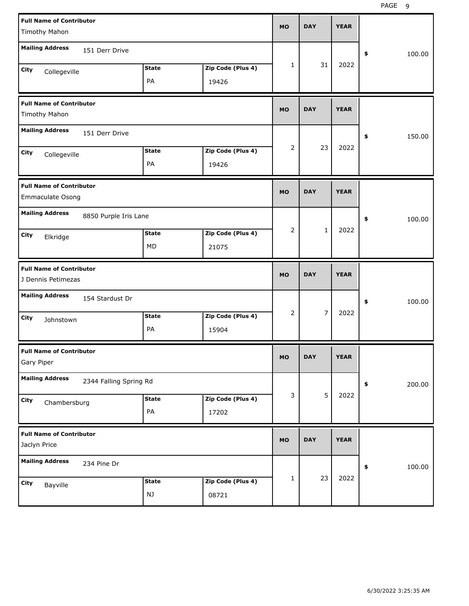| <b>Full Name of Contributor</b><br><b>Timothy Mahon</b> |                        |                    |                            | <b>MO</b>      | <b>DAY</b>     | <b>YEAR</b> |              |
|---------------------------------------------------------|------------------------|--------------------|----------------------------|----------------|----------------|-------------|--------------|
| <b>Mailing Address</b>                                  | 151 Derr Drive         |                    |                            |                |                |             | 100.00<br>\$ |
| City<br>Collegeville                                    |                        | <b>State</b><br>PA | Zip Code (Plus 4)<br>19426 | 1              | 31             | 2022        |              |
| <b>Full Name of Contributor</b><br>Timothy Mahon        |                        |                    |                            | <b>MO</b>      | <b>DAY</b>     | <b>YEAR</b> |              |
| <b>Mailing Address</b>                                  | 151 Derr Drive         |                    |                            |                |                |             | 150.00<br>\$ |
| City<br>Collegeville                                    |                        | <b>State</b><br>PA | Zip Code (Plus 4)<br>19426 | $\overline{2}$ | 23             | 2022        |              |
| <b>Full Name of Contributor</b><br>Emmaculate Osong     |                        |                    |                            | <b>MO</b>      | <b>DAY</b>     | <b>YEAR</b> |              |
| <b>Mailing Address</b>                                  | 8850 Purple Iris Lane  |                    |                            |                |                |             | 100.00<br>\$ |
| City<br>Elkridge                                        |                        | <b>State</b><br>МD | Zip Code (Plus 4)<br>21075 | $\overline{2}$ | $\mathbf 1$    | 2022        |              |
|                                                         |                        |                    |                            |                |                |             |              |
| <b>Full Name of Contributor</b><br>J Dennis Petimezas   |                        |                    |                            | <b>MO</b>      | <b>DAY</b>     | <b>YEAR</b> |              |
| <b>Mailing Address</b>                                  | 154 Stardust Dr        |                    |                            |                |                |             | 100.00<br>\$ |
| City<br>Johnstown                                       |                        | <b>State</b><br>PA | Zip Code (Plus 4)<br>15904 | 2              | $\overline{7}$ | 2022        |              |
| <b>Full Name of Contributor</b><br>Gary Piper           |                        |                    |                            | <b>MO</b>      | <b>DAY</b>     | <b>YEAR</b> |              |
| <b>Mailing Address</b>                                  | 2344 Falling Spring Rd |                    |                            |                |                |             | 200.00<br>\$ |
| City<br>Chambersburg                                    |                        | <b>State</b><br>PA | Zip Code (Plus 4)<br>17202 | 3              | 5              | 2022        |              |
| <b>Full Name of Contributor</b><br>Jaclyn Price         |                        |                    |                            | <b>MO</b>      | <b>DAY</b>     | <b>YEAR</b> |              |
| <b>Mailing Address</b>                                  | 234 Pine Dr            |                    |                            |                | 23             | 2022        | 100.00<br>\$ |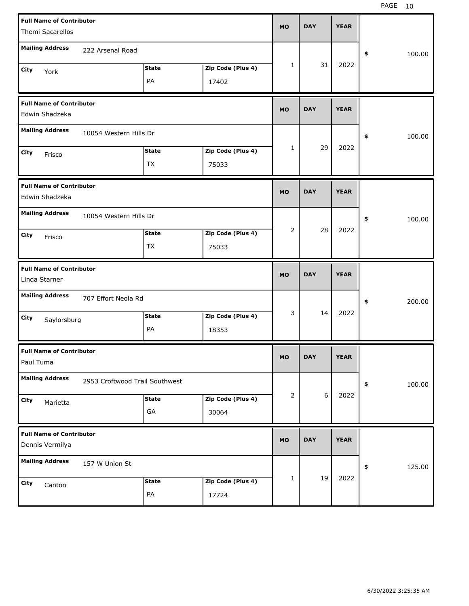| <b>Full Name of Contributor</b><br>Themi Sacarellos |                                |                    |                            | <b>MO</b> | <b>DAY</b> | <b>YEAR</b> |              |
|-----------------------------------------------------|--------------------------------|--------------------|----------------------------|-----------|------------|-------------|--------------|
| <b>Mailing Address</b>                              | 222 Arsenal Road               |                    |                            |           |            |             | \$<br>100.00 |
| City<br>York                                        |                                | <b>State</b><br>PA | Zip Code (Plus 4)<br>17402 | 1         | 31         | 2022        |              |
| <b>Full Name of Contributor</b><br>Edwin Shadzeka   |                                |                    |                            | <b>MO</b> | <b>DAY</b> | <b>YEAR</b> |              |
| <b>Mailing Address</b>                              | 10054 Western Hills Dr         |                    |                            |           |            |             | \$<br>100.00 |
| City<br>Frisco                                      |                                | <b>State</b><br>TX | Zip Code (Plus 4)<br>75033 | 1         | 29         | 2022        |              |
| <b>Full Name of Contributor</b><br>Edwin Shadzeka   |                                |                    |                            | <b>MO</b> | <b>DAY</b> | <b>YEAR</b> |              |
| <b>Mailing Address</b>                              | 10054 Western Hills Dr         |                    |                            |           |            |             | \$<br>100.00 |
| <b>City</b><br>Frisco                               |                                | <b>State</b><br>TX | Zip Code (Plus 4)<br>75033 | 2         | 28         | 2022        |              |
|                                                     |                                |                    |                            |           |            |             |              |
| <b>Full Name of Contributor</b><br>Linda Starner    |                                |                    |                            | <b>MO</b> | <b>DAY</b> | <b>YEAR</b> |              |
| <b>Mailing Address</b>                              | 707 Effort Neola Rd            |                    |                            |           |            |             | \$<br>200.00 |
| City<br>Saylorsburg                                 |                                | <b>State</b><br>PA | Zip Code (Plus 4)<br>18353 | 3         | 14         | 2022        |              |
| <b>Full Name of Contributor</b><br>Paul Tuma        |                                |                    |                            | <b>MO</b> | <b>DAY</b> | <b>YEAR</b> |              |
| <b>Mailing Address</b>                              | 2953 Croftwood Trail Southwest |                    |                            |           |            |             | \$<br>100.00 |
| City<br>Marietta                                    |                                | <b>State</b><br>GA | Zip Code (Plus 4)<br>30064 | 2         | $6\,$      | 2022        |              |
| <b>Full Name of Contributor</b><br>Dennis Vermilya  |                                |                    |                            | <b>MO</b> | <b>DAY</b> | <b>YEAR</b> |              |
| <b>Mailing Address</b>                              | 157 W Union St                 |                    |                            |           | 19         | 2022        | 125.00<br>\$ |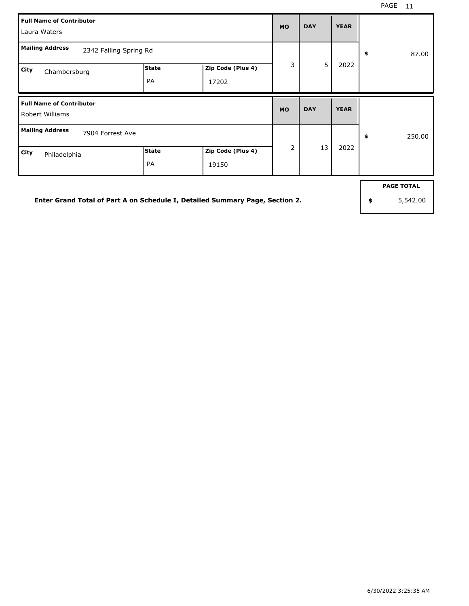| <b>Full Name of Contributor</b><br>Laura Waters    |                           |                            | <b>MO</b>      | <b>DAY</b> | <b>YEAR</b> |              |
|----------------------------------------------------|---------------------------|----------------------------|----------------|------------|-------------|--------------|
| <b>Mailing Address</b><br>2342 Falling Spring Rd   |                           |                            |                |            |             | 87.00<br>\$  |
| City<br>Chambersburg                               | <b>State</b><br><b>PA</b> | Zip Code (Plus 4)<br>17202 | 3              | 5          | 2022        |              |
| <b>Full Name of Contributor</b><br>Robert Williams |                           |                            | <b>MO</b>      | <b>DAY</b> | <b>YEAR</b> |              |
| <b>Mailing Address</b><br>7904 Forrest Ave         |                           |                            |                |            |             | \$<br>250.00 |
| City<br>Philadelphia                               | <b>State</b>              | Zip Code (Plus 4)          | $\overline{2}$ | 13         | 2022        |              |

**Enter Grand Total of Part A on Schedule I, Detailed Summary Page, Section 2.**

**PAGE TOTAL**

**\$** 5,542.00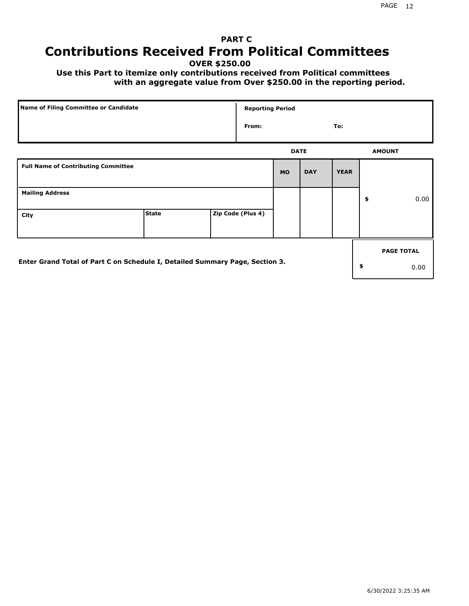# **PART C Contributions Received From Political Committees**

**OVER \$250.00**

 **Use this Part to itemize only contributions received from Political committees with an aggregate value from Over \$250.00 in the reporting period.**

| Name of Filing Committee or Candidate                                        |              |  |                   | <b>Reporting Period</b> |            |             |    |                   |
|------------------------------------------------------------------------------|--------------|--|-------------------|-------------------------|------------|-------------|----|-------------------|
|                                                                              |              |  | From:             |                         |            | To:         |    |                   |
|                                                                              |              |  |                   | <b>DATE</b>             |            |             |    | <b>AMOUNT</b>     |
| <b>Full Name of Contributing Committee</b>                                   |              |  |                   | <b>MO</b>               | <b>DAY</b> | <b>YEAR</b> |    |                   |
| <b>Mailing Address</b>                                                       |              |  |                   |                         |            |             | \$ | 0.00              |
| City                                                                         | <b>State</b> |  | Zip Code (Plus 4) |                         |            |             |    |                   |
|                                                                              |              |  |                   |                         |            |             |    | <b>PAGE TOTAL</b> |
| Enter Grand Total of Part C on Schedule I, Detailed Summary Page, Section 3. |              |  |                   |                         |            |             | \$ | 0.00              |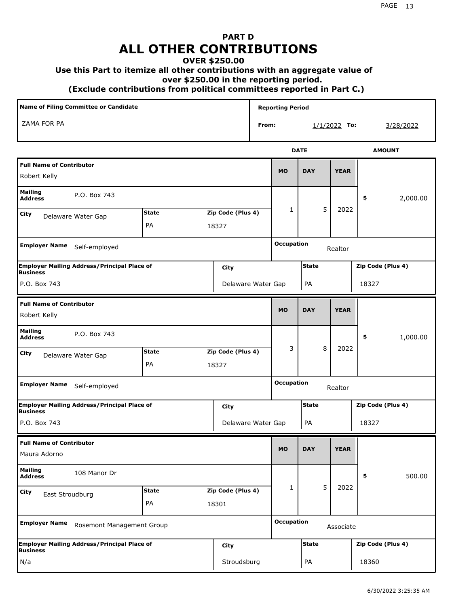# **PART D ALL OTHER CONTRIBUTIONS**

#### **OVER \$250.00**

#### **Use this Part to itemize all other contributions with an aggregate value of**

 **over \$250.00 in the reporting period.**

 **(Exclude contributions from political committees reported in Part C.)** 

|                                                                       | <b>Name of Filing Committee or Candidate</b> |                    |       |                    | <b>Reporting Period</b> |                   |              |             |                             |                   |
|-----------------------------------------------------------------------|----------------------------------------------|--------------------|-------|--------------------|-------------------------|-------------------|--------------|-------------|-----------------------------|-------------------|
| ZAMA FOR PA                                                           |                                              |                    |       |                    | From:                   |                   |              |             | $1/1/2022$ To:<br>3/28/2022 |                   |
|                                                                       |                                              |                    |       |                    |                         |                   | <b>DATE</b>  |             |                             | <b>AMOUNT</b>     |
| <b>Full Name of Contributor</b><br>Robert Kelly                       |                                              |                    |       |                    |                         | <b>MO</b>         | <b>DAY</b>   | <b>YEAR</b> |                             |                   |
| <b>Mailing</b><br><b>Address</b>                                      | P.O. Box 743                                 |                    |       |                    |                         |                   |              |             | \$                          | 2,000.00          |
| City<br>Delaware Water Gap                                            |                                              | <b>State</b><br>PA | 18327 | Zip Code (Plus 4)  |                         | 1                 | 5            | 2022        |                             |                   |
| <b>Employer Name</b>                                                  | Self-employed                                |                    |       |                    |                         | <b>Occupation</b> |              | Realtor     |                             |                   |
| <b>Employer Mailing Address/Principal Place of</b><br><b>Business</b> |                                              |                    |       | City               |                         |                   | <b>State</b> |             |                             | Zip Code (Plus 4) |
| P.O. Box 743                                                          |                                              |                    |       | Delaware Water Gap |                         |                   | PA           |             | 18327                       |                   |
| <b>Full Name of Contributor</b><br>Robert Kelly                       |                                              |                    |       |                    |                         | <b>MO</b>         | <b>DAY</b>   | <b>YEAR</b> |                             |                   |
| <b>Mailing</b><br><b>Address</b>                                      | P.O. Box 743                                 |                    |       |                    |                         |                   |              |             | \$                          | 1,000.00          |
| <b>City</b><br>Delaware Water Gap                                     |                                              | <b>State</b><br>PA | 18327 | Zip Code (Plus 4)  |                         | 3                 | 8            | 2022        |                             |                   |
| <b>Employer Name</b>                                                  | Self-employed                                |                    |       |                    |                         | <b>Occupation</b> |              | Realtor     |                             |                   |
| <b>Employer Mailing Address/Principal Place of</b><br><b>Business</b> |                                              |                    |       | City               |                         |                   | <b>State</b> |             |                             | Zip Code (Plus 4) |
| P.O. Box 743                                                          |                                              |                    |       | Delaware Water Gap |                         |                   | PA           |             | 18327                       |                   |
| <b>Full Name of Contributor</b><br>Maura Adorno                       |                                              |                    |       |                    |                         | <b>MO</b>         | <b>DAY</b>   | <b>YEAR</b> |                             |                   |
| <b>Mailing</b><br><b>Address</b>                                      | 108 Manor Dr                                 |                    |       |                    |                         |                   |              |             | \$                          | 500.00            |
| <b>City</b><br>East Stroudburg                                        |                                              | <b>State</b><br>PA | 18301 | Zip Code (Plus 4)  |                         | 1                 | 5            | 2022        |                             |                   |
| <b>Employer Name</b>                                                  | Rosemont Management Group                    |                    |       |                    |                         | <b>Occupation</b> |              | Associate   |                             |                   |
| <b>Employer Mailing Address/Principal Place of</b><br><b>Business</b> |                                              |                    |       | <b>City</b>        |                         |                   | <b>State</b> |             |                             | Zip Code (Plus 4) |
| N/a                                                                   |                                              |                    |       | Stroudsburg        |                         |                   | PA           |             | 18360                       |                   |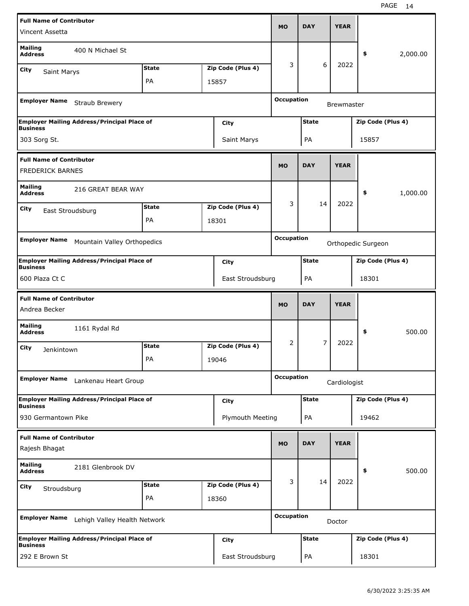| <b>Full Name of Contributor</b>                            |                                                    |              |                   |                   |              |                   |                    |          |
|------------------------------------------------------------|----------------------------------------------------|--------------|-------------------|-------------------|--------------|-------------------|--------------------|----------|
| Vincent Assetta                                            |                                                    |              |                   | <b>MO</b>         | <b>DAY</b>   | <b>YEAR</b>       |                    |          |
| <b>Mailing</b><br><b>Address</b>                           | 400 N Michael St                                   |              |                   |                   |              |                   | \$                 | 2,000.00 |
| <b>City</b><br><b>Saint Marys</b>                          |                                                    | <b>State</b> | Zip Code (Plus 4) | 3                 | 6            | 2022              |                    |          |
|                                                            |                                                    | PA           | 15857             |                   |              |                   |                    |          |
| <b>Employer Name</b>                                       | Straub Brewery                                     |              |                   | <b>Occupation</b> |              | <b>Brewmaster</b> |                    |          |
|                                                            | <b>Employer Mailing Address/Principal Place of</b> |              | City              |                   | <b>State</b> |                   | Zip Code (Plus 4)  |          |
| <b>Business</b><br>303 Sorg St.                            |                                                    |              | Saint Marys       |                   | PA           |                   | 15857              |          |
| <b>Full Name of Contributor</b><br><b>FREDERICK BARNES</b> |                                                    |              |                   | <b>MO</b>         | <b>DAY</b>   | <b>YEAR</b>       |                    |          |
|                                                            |                                                    |              |                   |                   |              |                   |                    |          |
| <b>Mailing</b><br><b>Address</b>                           | 216 GREAT BEAR WAY                                 |              |                   |                   |              |                   | \$                 | 1,000.00 |
| <b>City</b><br>East Stroudsburg                            |                                                    | <b>State</b> | Zip Code (Plus 4) | 3                 | 14           | 2022              |                    |          |
|                                                            |                                                    | PA           | 18301             |                   |              |                   |                    |          |
| <b>Employer Name</b>                                       |                                                    |              |                   | <b>Occupation</b> |              |                   |                    |          |
|                                                            | Mountain Valley Orthopedics                        |              |                   |                   |              |                   | Orthopedic Surgeon |          |
| <b>Business</b>                                            | <b>Employer Mailing Address/Principal Place of</b> |              | City              |                   | <b>State</b> |                   | Zip Code (Plus 4)  |          |
| 600 Plaza Ct C                                             |                                                    |              | East Stroudsburg  |                   | PA           |                   | 18301              |          |
|                                                            |                                                    |              |                   |                   |              |                   |                    |          |
|                                                            |                                                    |              |                   |                   |              |                   |                    |          |
| <b>Full Name of Contributor</b><br>Andrea Becker           |                                                    |              |                   | <b>MO</b>         | <b>DAY</b>   | <b>YEAR</b>       |                    |          |
| <b>Mailing</b><br><b>Address</b>                           | 1161 Rydal Rd                                      |              |                   |                   |              |                   | \$                 | 500.00   |
| City<br>Jenkintown                                         |                                                    | <b>State</b> | Zip Code (Plus 4) | 2                 | 7            | 2022              |                    |          |
|                                                            |                                                    | PA           | 19046             |                   |              |                   |                    |          |
| <b>Employer Name</b>                                       | Lankenau Heart Group                               |              |                   | <b>Occupation</b> |              | Cardiologist      |                    |          |
|                                                            | <b>Employer Mailing Address/Principal Place of</b> |              | City              |                   | <b>State</b> |                   | Zip Code (Plus 4)  |          |
| <b>Business</b><br>930 Germantown Pike                     |                                                    |              | Plymouth Meeting  |                   | PA           |                   | 19462              |          |
| <b>Full Name of Contributor</b>                            |                                                    |              |                   |                   |              |                   |                    |          |
| Rajesh Bhagat                                              |                                                    |              |                   | <b>MO</b>         | <b>DAY</b>   | <b>YEAR</b>       |                    |          |
| <b>Mailing</b><br><b>Address</b>                           | 2181 Glenbrook DV                                  |              |                   |                   |              |                   | \$                 | 500.00   |
| City                                                       |                                                    | <b>State</b> | Zip Code (Plus 4) | 3                 | 14           | 2022              |                    |          |
| Stroudsburg                                                |                                                    | PA           | 18360             |                   |              |                   |                    |          |
| <b>Employer Name</b>                                       | Lehigh Valley Health Network                       |              |                   | <b>Occupation</b> |              | Doctor            |                    |          |
| <b>Business</b>                                            | <b>Employer Mailing Address/Principal Place of</b> |              | <b>City</b>       |                   | <b>State</b> |                   | Zip Code (Plus 4)  |          |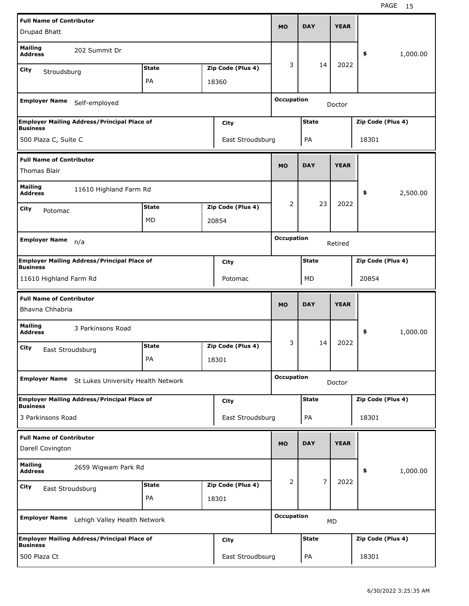| <b>Full Name of Contributor</b>                        |                                                    |              |                   |                   |                |             |                   |          |
|--------------------------------------------------------|----------------------------------------------------|--------------|-------------------|-------------------|----------------|-------------|-------------------|----------|
| Drupad Bhatt                                           |                                                    |              |                   | <b>MO</b>         | <b>DAY</b>     | <b>YEAR</b> |                   |          |
| <b>Mailing</b><br><b>Address</b>                       | 202 Summit Dr                                      |              |                   |                   |                |             | \$                | 1,000.00 |
| City<br>Stroudsburg                                    |                                                    | <b>State</b> | Zip Code (Plus 4) | 3                 | 14             | 2022        |                   |          |
|                                                        |                                                    | PA           | 18360             |                   |                |             |                   |          |
| <b>Employer Name</b>                                   | Self-employed                                      |              |                   | <b>Occupation</b> |                | Doctor      |                   |          |
|                                                        | <b>Employer Mailing Address/Principal Place of</b> |              | City              |                   | <b>State</b>   |             | Zip Code (Plus 4) |          |
| <b>Business</b><br>500 Plaza C, Suite C                |                                                    |              | East Stroudsburg  |                   | PA             |             | 18301             |          |
|                                                        |                                                    |              |                   |                   |                |             |                   |          |
| <b>Full Name of Contributor</b><br><b>Thomas Blair</b> |                                                    |              |                   | <b>MO</b>         | <b>DAY</b>     | <b>YEAR</b> |                   |          |
| <b>Mailing</b><br><b>Address</b>                       | 11610 Highland Farm Rd                             |              |                   |                   |                |             | \$                | 2,500.00 |
| City<br>Potomac                                        |                                                    | <b>State</b> | Zip Code (Plus 4) | 2                 | 23             | 2022        |                   |          |
|                                                        |                                                    | MD           | 20854             |                   |                |             |                   |          |
| <b>Employer Name</b>                                   |                                                    |              |                   | <b>Occupation</b> |                |             |                   |          |
|                                                        | n/a                                                |              |                   |                   |                | Retired     |                   |          |
| <b>Business</b>                                        | <b>Employer Mailing Address/Principal Place of</b> |              | <b>City</b>       |                   | <b>State</b>   |             | Zip Code (Plus 4) |          |
| 11610 Highland Farm Rd                                 |                                                    |              | Potomac           |                   | MD             |             | 20854             |          |
|                                                        |                                                    |              |                   |                   |                |             |                   |          |
|                                                        |                                                    |              |                   |                   |                |             |                   |          |
| <b>Full Name of Contributor</b><br>Bhavna Chhabria     |                                                    |              |                   | <b>MO</b>         | <b>DAY</b>     | <b>YEAR</b> |                   |          |
| <b>Mailing</b><br><b>Address</b>                       | 3 Parkinsons Road                                  |              |                   |                   |                |             | \$                | 1,000.00 |
| City                                                   |                                                    | <b>State</b> | Zip Code (Plus 4) | 3                 | 14             | 2022        |                   |          |
| East Stroudsburg                                       |                                                    | РA           | 18301             |                   |                |             |                   |          |
| <b>Employer Name</b>                                   | St Lukes University Health Network                 |              |                   | <b>Occupation</b> |                | Doctor      |                   |          |
|                                                        | <b>Employer Mailing Address/Principal Place of</b> |              | <b>City</b>       |                   | <b>State</b>   |             | Zip Code (Plus 4) |          |
| <b>Business</b><br>3 Parkinsons Road                   |                                                    |              | East Stroudsburg  |                   | PA             |             | 18301             |          |
| <b>Full Name of Contributor</b>                        |                                                    |              |                   |                   |                |             |                   |          |
| Darell Covington                                       |                                                    |              |                   | <b>MO</b>         | <b>DAY</b>     | <b>YEAR</b> |                   |          |
| <b>Mailing</b><br><b>Address</b>                       | 2659 Wigwam Park Rd                                |              |                   |                   |                |             | \$                | 1,000.00 |
| <b>City</b>                                            |                                                    | <b>State</b> | Zip Code (Plus 4) | 2                 | $\overline{7}$ | 2022        |                   |          |
| East Stroudsburg                                       |                                                    | PA           | 18301             |                   |                |             |                   |          |
| <b>Employer Name</b>                                   | Lehigh Valley Health Network                       |              |                   | <b>Occupation</b> |                | MD          |                   |          |
| <b>Business</b>                                        | <b>Employer Mailing Address/Principal Place of</b> |              | <b>City</b>       |                   | <b>State</b>   |             | Zip Code (Plus 4) |          |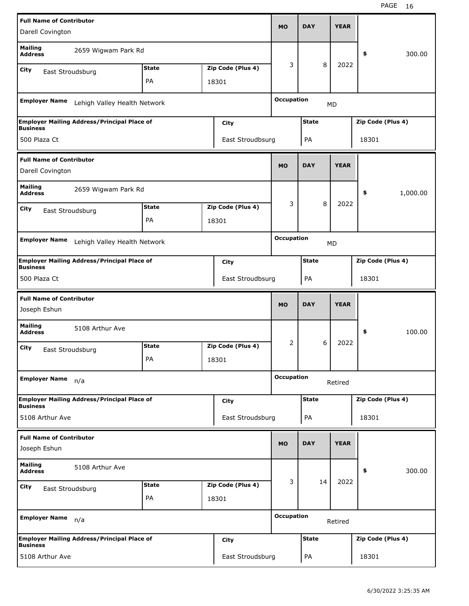| <b>Full Name of Contributor</b>                 |                                                    |              |                   |                   |              |             |                   |          |
|-------------------------------------------------|----------------------------------------------------|--------------|-------------------|-------------------|--------------|-------------|-------------------|----------|
| Darell Covington                                |                                                    |              |                   | <b>MO</b>         | <b>DAY</b>   | <b>YEAR</b> |                   |          |
| <b>Mailing</b><br><b>Address</b>                | 2659 Wigwam Park Rd                                |              |                   |                   |              |             | \$                | 300.00   |
| <b>City</b><br>East Stroudsburg                 |                                                    | <b>State</b> | Zip Code (Plus 4) | 3                 | 8            | 2022        |                   |          |
|                                                 |                                                    | PA           | 18301             |                   |              |             |                   |          |
|                                                 |                                                    |              |                   |                   |              |             |                   |          |
| <b>Employer Name</b>                            | Lehigh Valley Health Network                       |              |                   | <b>Occupation</b> |              | <b>MD</b>   |                   |          |
| <b>Business</b>                                 | <b>Employer Mailing Address/Principal Place of</b> |              | City              |                   | <b>State</b> |             | Zip Code (Plus 4) |          |
| 500 Plaza Ct                                    |                                                    |              | East Stroudbsurg  |                   | PA           |             | 18301             |          |
| <b>Full Name of Contributor</b>                 |                                                    |              |                   |                   |              |             |                   |          |
| Darell Covington                                |                                                    |              |                   | <b>MO</b>         | <b>DAY</b>   | <b>YEAR</b> |                   |          |
| <b>Mailing</b><br><b>Address</b>                | 2659 Wigwam Park Rd                                |              |                   |                   |              |             | \$                | 1,000.00 |
| <b>City</b><br>East Stroudsburg                 |                                                    | <b>State</b> | Zip Code (Plus 4) | 3                 | 8            | 2022        |                   |          |
|                                                 |                                                    | PA           | 18301             |                   |              |             |                   |          |
|                                                 |                                                    |              |                   |                   |              |             |                   |          |
| <b>Employer Name</b>                            | Lehigh Valley Health Network                       |              |                   | <b>Occupation</b> |              | <b>MD</b>   |                   |          |
| <b>Business</b>                                 | <b>Employer Mailing Address/Principal Place of</b> |              | <b>City</b>       |                   | <b>State</b> |             | Zip Code (Plus 4) |          |
| 500 Plaza Ct                                    |                                                    |              | East Stroudbsurg  |                   | PA           |             | 18301             |          |
|                                                 |                                                    |              |                   |                   |              |             |                   |          |
| <b>Full Name of Contributor</b>                 |                                                    |              |                   |                   |              |             |                   |          |
| Joseph Eshun                                    |                                                    |              |                   | <b>MO</b>         | <b>DAY</b>   | <b>YEAR</b> |                   |          |
| <b>Mailing</b><br><b>Address</b>                | 5108 Arthur Ave                                    |              |                   |                   |              |             | \$                | 100.00   |
| City                                            |                                                    | <b>State</b> | Zip Code (Plus 4) | 2                 | 6            | 2022        |                   |          |
| East Stroudsburg                                |                                                    | PA           | 18301             |                   |              |             |                   |          |
| <b>Employer Name</b>                            | n/a                                                |              |                   | <b>Occupation</b> |              | Retired     |                   |          |
|                                                 | <b>Employer Mailing Address/Principal Place of</b> |              | City              |                   | <b>State</b> |             | Zip Code (Plus 4) |          |
| <b>Business</b><br>5108 Arthur Ave              |                                                    |              | East Stroudsburg  |                   | PA           |             | 18301             |          |
|                                                 |                                                    |              |                   |                   |              |             |                   |          |
| <b>Full Name of Contributor</b><br>Joseph Eshun |                                                    |              |                   | <b>MO</b>         | <b>DAY</b>   | <b>YEAR</b> |                   |          |
| <b>Mailing</b><br><b>Address</b>                | 5108 Arthur Ave                                    |              |                   |                   |              |             | \$                | 300.00   |
| City                                            |                                                    | <b>State</b> | Zip Code (Plus 4) | 3                 | 14           | 2022        |                   |          |
| East Stroudsburg                                |                                                    | PA           | 18301             |                   |              |             |                   |          |
| <b>Employer Name</b>                            | n/a                                                |              |                   | <b>Occupation</b> |              | Retired     |                   |          |
| <b>Business</b>                                 | <b>Employer Mailing Address/Principal Place of</b> |              | City              |                   | <b>State</b> |             | Zip Code (Plus 4) |          |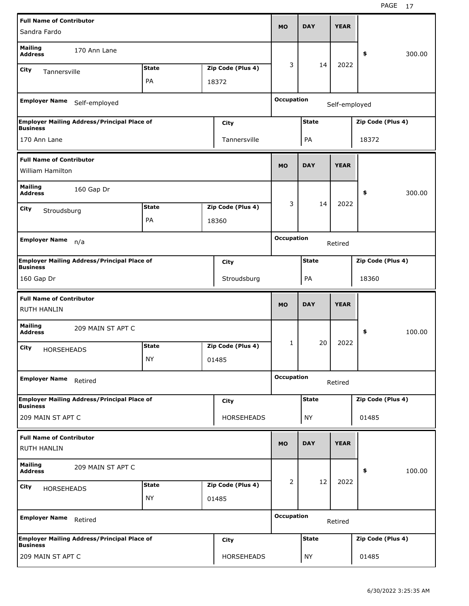| <b>Full Name of Contributor</b>                       |                                                    |              |                   |                   |              |               |                   |        |
|-------------------------------------------------------|----------------------------------------------------|--------------|-------------------|-------------------|--------------|---------------|-------------------|--------|
| Sandra Fardo                                          |                                                    |              |                   | <b>MO</b>         | <b>DAY</b>   | <b>YEAR</b>   |                   |        |
| <b>Mailing</b><br><b>Address</b>                      | 170 Ann Lane                                       |              |                   |                   |              |               | \$                | 300.00 |
| City<br>Tannersville                                  |                                                    | <b>State</b> | Zip Code (Plus 4) | 3                 | 14           | 2022          |                   |        |
|                                                       |                                                    | PA           | 18372             |                   |              |               |                   |        |
| <b>Employer Name</b>                                  | Self-employed                                      |              |                   | <b>Occupation</b> |              | Self-employed |                   |        |
| <b>Business</b>                                       | <b>Employer Mailing Address/Principal Place of</b> |              | City              |                   | <b>State</b> |               | Zip Code (Plus 4) |        |
| 170 Ann Lane                                          |                                                    |              | Tannersville      |                   | PA           |               | 18372             |        |
| <b>Full Name of Contributor</b><br>William Hamilton   |                                                    |              |                   | <b>MO</b>         | <b>DAY</b>   | <b>YEAR</b>   |                   |        |
| <b>Mailing</b><br><b>Address</b>                      | 160 Gap Dr                                         |              |                   |                   |              |               | \$                | 300.00 |
| <b>City</b>                                           |                                                    | <b>State</b> | Zip Code (Plus 4) | 3                 | 14           | 2022          |                   |        |
| Stroudsburg                                           |                                                    | PA           | 18360             |                   |              |               |                   |        |
|                                                       |                                                    |              |                   |                   |              |               |                   |        |
| <b>Employer Name</b>                                  | n/a                                                |              |                   | <b>Occupation</b> |              | Retired       |                   |        |
| <b>Business</b>                                       | <b>Employer Mailing Address/Principal Place of</b> |              | City              |                   | <b>State</b> |               | Zip Code (Plus 4) |        |
| 160 Gap Dr                                            |                                                    |              | Stroudsburg       |                   | PA           |               | 18360             |        |
|                                                       |                                                    |              |                   |                   |              |               |                   |        |
| <b>Full Name of Contributor</b><br><b>RUTH HANLIN</b> |                                                    |              |                   | <b>MO</b>         | <b>DAY</b>   | <b>YEAR</b>   |                   |        |
| <b>Mailing</b><br><b>Address</b>                      | 209 MAIN ST APT C                                  |              |                   |                   |              |               | \$                | 100.00 |
| City                                                  |                                                    | <b>State</b> | Zip Code (Plus 4) | 1                 | 20           | 2022          |                   |        |
| <b>HORSEHEADS</b>                                     |                                                    | <b>NY</b>    | 01485             |                   |              |               |                   |        |
| <b>Employer Name</b>                                  | Retired                                            |              |                   | <b>Occupation</b> |              | Retired       |                   |        |
|                                                       | <b>Employer Mailing Address/Principal Place of</b> |              | <b>City</b>       |                   | <b>State</b> |               | Zip Code (Plus 4) |        |
| <b>Business</b><br>209 MAIN ST APT C                  |                                                    |              | <b>HORSEHEADS</b> |                   | <b>NY</b>    |               | 01485             |        |
| <b>Full Name of Contributor</b><br><b>RUTH HANLIN</b> |                                                    |              |                   | <b>MO</b>         | <b>DAY</b>   | <b>YEAR</b>   |                   |        |
| <b>Mailing</b><br><b>Address</b>                      | 209 MAIN ST APT C                                  |              |                   |                   |              |               | \$                | 100.00 |
| City                                                  |                                                    | <b>State</b> | Zip Code (Plus 4) | 2                 | 12           | 2022          |                   |        |
| HORSEHEADS                                            |                                                    | <b>NY</b>    | 01485             |                   |              |               |                   |        |
| <b>Employer Name</b>                                  | Retired                                            |              |                   | <b>Occupation</b> |              | Retired       |                   |        |
| <b>Business</b>                                       | <b>Employer Mailing Address/Principal Place of</b> |              | <b>City</b>       |                   | <b>State</b> |               | Zip Code (Plus 4) |        |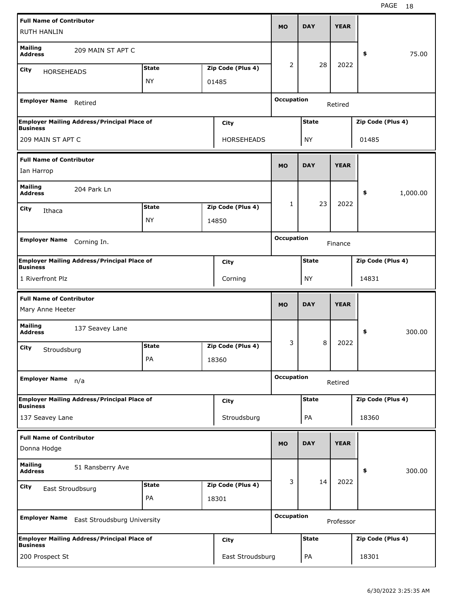| <b>Full Name of Contributor</b><br><b>RUTH HANLIN</b> |                                                    |              |                   | <b>MO</b>         | <b>DAY</b>   | <b>YEAR</b> |                   |          |
|-------------------------------------------------------|----------------------------------------------------|--------------|-------------------|-------------------|--------------|-------------|-------------------|----------|
| <b>Mailing</b><br><b>Address</b>                      | 209 MAIN ST APT C                                  |              |                   |                   |              |             | \$                | 75.00    |
| City                                                  |                                                    | <b>State</b> | Zip Code (Plus 4) | 2                 | 28           | 2022        |                   |          |
| <b>HORSEHEADS</b>                                     |                                                    | <b>NY</b>    | 01485             |                   |              |             |                   |          |
|                                                       |                                                    |              |                   |                   |              |             |                   |          |
| <b>Employer Name</b>                                  | Retired                                            |              |                   | <b>Occupation</b> |              | Retired     |                   |          |
| <b>Business</b>                                       | <b>Employer Mailing Address/Principal Place of</b> |              | City              |                   | <b>State</b> |             | Zip Code (Plus 4) |          |
| 209 MAIN ST APT C                                     |                                                    |              | <b>HORSEHEADS</b> |                   | <b>NY</b>    |             | 01485             |          |
| <b>Full Name of Contributor</b>                       |                                                    |              |                   |                   |              |             |                   |          |
| Ian Harrop                                            |                                                    |              |                   | <b>MO</b>         | <b>DAY</b>   | <b>YEAR</b> |                   |          |
| <b>Mailing</b><br><b>Address</b>                      | 204 Park Ln                                        |              |                   |                   |              |             | \$                | 1,000.00 |
| City<br>Ithaca                                        |                                                    | <b>State</b> | Zip Code (Plus 4) | 1                 | 23           | 2022        |                   |          |
|                                                       |                                                    | <b>NY</b>    | 14850             |                   |              |             |                   |          |
|                                                       |                                                    |              |                   |                   |              |             |                   |          |
| <b>Employer Name</b>                                  | Corning In.                                        |              |                   | <b>Occupation</b> |              | Finance     |                   |          |
| <b>Business</b>                                       | <b>Employer Mailing Address/Principal Place of</b> |              | City              |                   | <b>State</b> |             | Zip Code (Plus 4) |          |
| 1 Riverfront Plz                                      |                                                    |              | Corning           |                   | <b>NY</b>    |             | 14831             |          |
|                                                       |                                                    |              |                   |                   |              |             |                   |          |
|                                                       |                                                    |              |                   |                   |              |             |                   |          |
| <b>Full Name of Contributor</b><br>Mary Anne Heeter   |                                                    |              |                   | <b>MO</b>         | <b>DAY</b>   | <b>YEAR</b> |                   |          |
| <b>Mailing</b><br><b>Address</b>                      | 137 Seavey Lane                                    |              |                   |                   |              |             | \$                | 300.00   |
| City                                                  |                                                    | <b>State</b> | Zip Code (Plus 4) | 3                 | 8            | 2022        |                   |          |
| Stroudsburg                                           |                                                    | PA           | 18360             |                   |              |             |                   |          |
| <b>Employer Name</b>                                  | n/a                                                |              |                   | <b>Occupation</b> |              | Retired     |                   |          |
|                                                       | <b>Employer Mailing Address/Principal Place of</b> |              | City              |                   | <b>State</b> |             | Zip Code (Plus 4) |          |
| <b>Business</b><br>137 Seavey Lane                    |                                                    |              | Stroudsburg       |                   | PA           |             | 18360             |          |
| <b>Full Name of Contributor</b>                       |                                                    |              |                   |                   |              |             |                   |          |
| Donna Hodge                                           |                                                    |              |                   | <b>MO</b>         | <b>DAY</b>   | <b>YEAR</b> |                   |          |
| <b>Mailing</b><br><b>Address</b>                      | 51 Ransberry Ave                                   |              |                   |                   |              |             | \$                | 300.00   |
| City                                                  |                                                    | <b>State</b> | Zip Code (Plus 4) | 3                 | 14           | 2022        |                   |          |
| East Stroudbsurg                                      |                                                    | PA           | 18301             |                   |              |             |                   |          |
| <b>Employer Name</b>                                  | East Stroudsburg University                        |              |                   | <b>Occupation</b> |              | Professor   |                   |          |
| <b>Business</b>                                       | <b>Employer Mailing Address/Principal Place of</b> |              | City              |                   | <b>State</b> |             | Zip Code (Plus 4) |          |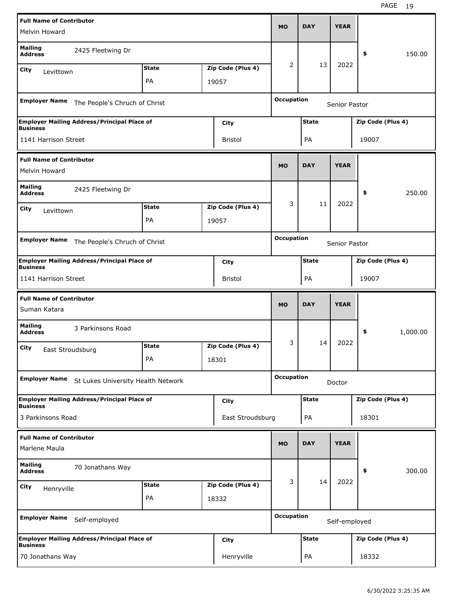| <b>Full Name of Contributor</b>                  |                                                    |              |                   |                   |              |               |                   |          |
|--------------------------------------------------|----------------------------------------------------|--------------|-------------------|-------------------|--------------|---------------|-------------------|----------|
| Melvin Howard                                    |                                                    |              |                   | <b>MO</b>         | <b>DAY</b>   | <b>YEAR</b>   |                   |          |
| <b>Mailing</b><br><b>Address</b>                 | 2425 Fleetwing Dr                                  |              |                   |                   |              |               | \$                | 150.00   |
| City<br>Levittown                                |                                                    | <b>State</b> | Zip Code (Plus 4) | 2                 | 13           | 2022          |                   |          |
|                                                  |                                                    | PA           | 19057             |                   |              |               |                   |          |
| <b>Employer Name</b>                             | The People's Chruch of Christ                      |              |                   | <b>Occupation</b> |              | Senior Pastor |                   |          |
|                                                  | <b>Employer Mailing Address/Principal Place of</b> |              | City              |                   | <b>State</b> |               | Zip Code (Plus 4) |          |
| <b>Business</b><br>1141 Harrison Street          |                                                    |              | Bristol           |                   | PA           |               | 19007             |          |
| <b>Full Name of Contributor</b><br>Melvin Howard |                                                    |              |                   | <b>MO</b>         | <b>DAY</b>   | <b>YEAR</b>   |                   |          |
| <b>Mailing</b><br><b>Address</b>                 | 2425 Fleetwing Dr                                  |              |                   |                   |              |               | \$                | 250.00   |
| City<br>Levittown                                |                                                    | <b>State</b> | Zip Code (Plus 4) | 3                 | 11           | 2022          |                   |          |
|                                                  |                                                    | PA           | 19057             |                   |              |               |                   |          |
| <b>Employer Name</b>                             | The People's Chruch of Christ                      |              |                   | <b>Occupation</b> |              | Senior Pastor |                   |          |
|                                                  | <b>Employer Mailing Address/Principal Place of</b> |              | City              |                   | <b>State</b> |               | Zip Code (Plus 4) |          |
| <b>Business</b><br>1141 Harrison Street          |                                                    |              | Bristol           |                   | PA           |               | 19007             |          |
|                                                  |                                                    |              |                   |                   |              |               |                   |          |
|                                                  |                                                    |              |                   |                   |              |               |                   |          |
| <b>Full Name of Contributor</b><br>Suman Katara  |                                                    |              |                   | <b>MO</b>         | <b>DAY</b>   | <b>YEAR</b>   |                   |          |
| <b>Mailing</b><br><b>Address</b>                 | 3 Parkinsons Road                                  |              |                   |                   |              |               | \$                | 1,000.00 |
| City                                             |                                                    | <b>State</b> | Zip Code (Plus 4) | 3                 | 14           | 2022          |                   |          |
| East Stroudsburg                                 |                                                    | PA           | 18301             |                   |              |               |                   |          |
| <b>Employer Name</b>                             | St Lukes University Health Network                 |              |                   | <b>Occupation</b> |              | Doctor        |                   |          |
|                                                  | <b>Employer Mailing Address/Principal Place of</b> |              | <b>City</b>       |                   | <b>State</b> |               | Zip Code (Plus 4) |          |
| <b>Business</b><br>3 Parkinsons Road             |                                                    |              | East Stroudsburg  |                   | PA           |               | 18301             |          |
| <b>Full Name of Contributor</b><br>Marlene Maula |                                                    |              |                   | <b>MO</b>         | <b>DAY</b>   | <b>YEAR</b>   |                   |          |
| <b>Mailing</b><br><b>Address</b>                 | 70 Jonathans Way                                   |              |                   |                   |              |               | \$                | 300.00   |
| City                                             |                                                    | <b>State</b> | Zip Code (Plus 4) | 3                 | 14           | 2022          |                   |          |
| Henryville                                       |                                                    | PA           | 18332             |                   |              |               |                   |          |
| <b>Employer Name</b>                             | Self-employed                                      |              |                   | <b>Occupation</b> |              | Self-employed |                   |          |
| <b>Business</b>                                  | <b>Employer Mailing Address/Principal Place of</b> |              | <b>City</b>       |                   | <b>State</b> |               | Zip Code (Plus 4) |          |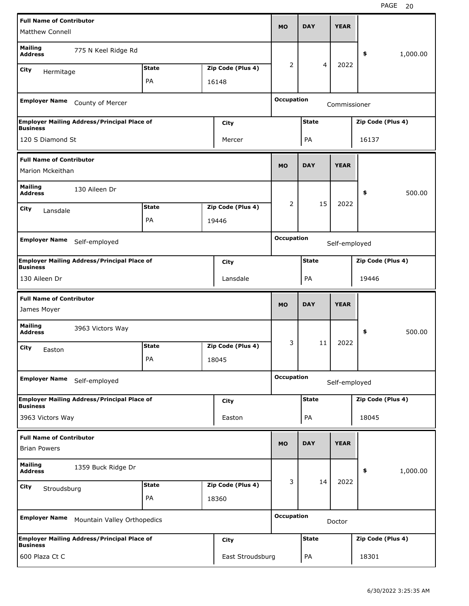| <b>Full Name of Contributor</b>                |                                                    |              |                   |                   |              |               |                   |          |
|------------------------------------------------|----------------------------------------------------|--------------|-------------------|-------------------|--------------|---------------|-------------------|----------|
| Matthew Connell                                |                                                    |              |                   | <b>MO</b>         | <b>DAY</b>   | <b>YEAR</b>   |                   |          |
| <b>Mailing</b><br><b>Address</b>               | 775 N Keel Ridge Rd                                |              |                   |                   |              |               | \$                | 1,000.00 |
| <b>City</b><br>Hermitage                       |                                                    | <b>State</b> | Zip Code (Plus 4) | 2                 | 4            | 2022          |                   |          |
|                                                |                                                    | PA           | 16148             |                   |              |               |                   |          |
| <b>Employer Name</b>                           | County of Mercer                                   |              |                   | <b>Occupation</b> |              | Commissioner  |                   |          |
|                                                | <b>Employer Mailing Address/Principal Place of</b> |              | City              |                   | <b>State</b> |               | Zip Code (Plus 4) |          |
| <b>Business</b><br>120 S Diamond St            |                                                    |              | Mercer            |                   | PA           |               | 16137             |          |
| <b>Full Name of Contributor</b>                |                                                    |              |                   |                   |              |               |                   |          |
| Marion Mckeithan                               |                                                    |              |                   | <b>MO</b>         | <b>DAY</b>   | <b>YEAR</b>   |                   |          |
| <b>Mailing</b><br><b>Address</b>               | 130 Aileen Dr                                      |              |                   |                   |              |               | \$                | 500.00   |
| City<br>Lansdale                               |                                                    | <b>State</b> | Zip Code (Plus 4) | 2                 | 15           | 2022          |                   |          |
|                                                |                                                    | PA           | 19446             |                   |              |               |                   |          |
|                                                |                                                    |              |                   | <b>Occupation</b> |              |               |                   |          |
| <b>Employer Name</b>                           | Self-employed                                      |              |                   |                   |              | Self-employed |                   |          |
| <b>Business</b>                                | <b>Employer Mailing Address/Principal Place of</b> |              | City              |                   | <b>State</b> |               | Zip Code (Plus 4) |          |
| 130 Aileen Dr                                  |                                                    |              | Lansdale          |                   | PA           |               | 19446             |          |
|                                                |                                                    |              |                   |                   |              |               |                   |          |
|                                                |                                                    |              |                   |                   |              |               |                   |          |
| <b>Full Name of Contributor</b><br>James Moyer |                                                    |              |                   | <b>MO</b>         | <b>DAY</b>   | <b>YEAR</b>   |                   |          |
| <b>Mailing</b><br><b>Address</b>               | 3963 Victors Way                                   |              |                   |                   |              |               | \$                | 500.00   |
| City<br>Easton                                 |                                                    | <b>State</b> | Zip Code (Plus 4) | 3                 | 11           | 2022          |                   |          |
|                                                |                                                    | PA           | 18045             |                   |              |               |                   |          |
| <b>Employer Name</b>                           | Self-employed                                      |              |                   | <b>Occupation</b> |              | Self-employed |                   |          |
|                                                | <b>Employer Mailing Address/Principal Place of</b> |              | <b>City</b>       |                   | <b>State</b> |               | Zip Code (Plus 4) |          |
| <b>Business</b><br>3963 Victors Way            |                                                    |              | Easton            |                   | PA           |               | 18045             |          |
| <b>Full Name of Contributor</b>                |                                                    |              |                   |                   |              |               |                   |          |
| <b>Brian Powers</b>                            |                                                    |              |                   | <b>MO</b>         | <b>DAY</b>   | <b>YEAR</b>   |                   |          |
| <b>Mailing</b><br><b>Address</b>               | 1359 Buck Ridge Dr                                 |              |                   |                   |              |               | \$                | 1,000.00 |
| <b>City</b>                                    |                                                    | <b>State</b> | Zip Code (Plus 4) | 3                 | 14           | 2022          |                   |          |
| Stroudsburg                                    |                                                    | PA           | 18360             |                   |              |               |                   |          |
| <b>Employer Name</b>                           | Mountain Valley Orthopedics                        |              |                   | <b>Occupation</b> |              | Doctor        |                   |          |
| <b>Business</b>                                | <b>Employer Mailing Address/Principal Place of</b> |              | <b>City</b>       |                   | <b>State</b> |               | Zip Code (Plus 4) |          |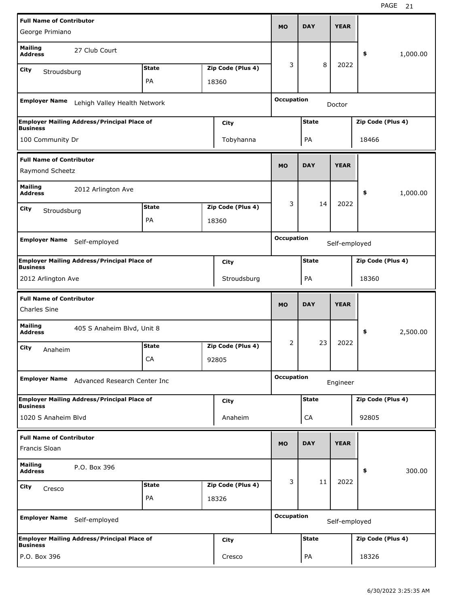| <b>Full Name of Contributor</b>                    |                                                    |              |                   |                   |              |               |                   |          |
|----------------------------------------------------|----------------------------------------------------|--------------|-------------------|-------------------|--------------|---------------|-------------------|----------|
| George Primiano                                    |                                                    |              |                   | MO                | <b>DAY</b>   | <b>YEAR</b>   |                   |          |
| <b>Mailing</b><br><b>Address</b>                   | 27 Club Court                                      |              |                   |                   |              |               | \$                | 1,000.00 |
| City<br>Stroudsburg                                |                                                    | <b>State</b> | Zip Code (Plus 4) | 3                 | 8            | 2022          |                   |          |
|                                                    |                                                    | PA           | 18360             |                   |              |               |                   |          |
| <b>Employer Name</b>                               | Lehigh Valley Health Network                       |              |                   | <b>Occupation</b> |              | Doctor        |                   |          |
| <b>Business</b>                                    | <b>Employer Mailing Address/Principal Place of</b> |              | City              |                   | <b>State</b> |               | Zip Code (Plus 4) |          |
| 100 Community Dr                                   |                                                    |              | Tobyhanna         |                   | PA           |               | 18466             |          |
| <b>Full Name of Contributor</b><br>Raymond Scheetz |                                                    |              |                   | <b>MO</b>         | <b>DAY</b>   | <b>YEAR</b>   |                   |          |
|                                                    |                                                    |              |                   |                   |              |               |                   |          |
| <b>Mailing</b><br><b>Address</b>                   | 2012 Arlington Ave                                 |              |                   |                   |              |               | \$                | 1,000.00 |
| City<br>Stroudsburg                                |                                                    | <b>State</b> | Zip Code (Plus 4) | 3                 | 14           | 2022          |                   |          |
|                                                    |                                                    | PA           | 18360             |                   |              |               |                   |          |
|                                                    |                                                    |              |                   | <b>Occupation</b> |              |               |                   |          |
| <b>Employer Name</b>                               | Self-employed                                      |              |                   |                   |              | Self-employed |                   |          |
|                                                    | <b>Employer Mailing Address/Principal Place of</b> |              | City              |                   | <b>State</b> |               | Zip Code (Plus 4) |          |
| <b>Business</b><br>2012 Arlington Ave              |                                                    |              | Stroudsburg       |                   | PA           |               | 18360             |          |
|                                                    |                                                    |              |                   |                   |              |               |                   |          |
|                                                    |                                                    |              |                   |                   |              |               |                   |          |
| <b>Full Name of Contributor</b><br>Charles Sine    |                                                    |              |                   | <b>MO</b>         | <b>DAY</b>   | <b>YEAR</b>   |                   |          |
| <b>Mailing</b><br><b>Address</b>                   | 405 S Anaheim Blvd, Unit 8                         |              |                   |                   |              |               | \$                | 2,500.00 |
| City                                               |                                                    | <b>State</b> | Zip Code (Plus 4) | 2                 | 23           | 2022          |                   |          |
| Anaheim                                            |                                                    | CA           | 92805             |                   |              |               |                   |          |
| <b>Employer Name</b>                               | Advanced Research Center Inc                       |              |                   | <b>Occupation</b> |              | Engineer      |                   |          |
|                                                    | <b>Employer Mailing Address/Principal Place of</b> |              | City              |                   | <b>State</b> |               | Zip Code (Plus 4) |          |
| <b>Business</b><br>1020 S Anaheim Blvd             |                                                    |              | Anaheim           |                   | CA           |               | 92805             |          |
| <b>Full Name of Contributor</b>                    |                                                    |              |                   |                   |              |               |                   |          |
| Francis Sloan                                      |                                                    |              |                   | <b>MO</b>         | <b>DAY</b>   | <b>YEAR</b>   |                   |          |
| <b>Mailing</b><br><b>Address</b>                   | P.O. Box 396                                       |              |                   |                   |              |               | \$                | 300.00   |
| City<br>Cresco                                     |                                                    | <b>State</b> | Zip Code (Plus 4) | 3                 | 11           | 2022          |                   |          |
|                                                    |                                                    | PA           | 18326             |                   |              |               |                   |          |
| <b>Employer Name</b>                               | Self-employed                                      |              |                   | <b>Occupation</b> |              | Self-employed |                   |          |
| <b>Business</b>                                    | <b>Employer Mailing Address/Principal Place of</b> |              | City              |                   | <b>State</b> |               | Zip Code (Plus 4) |          |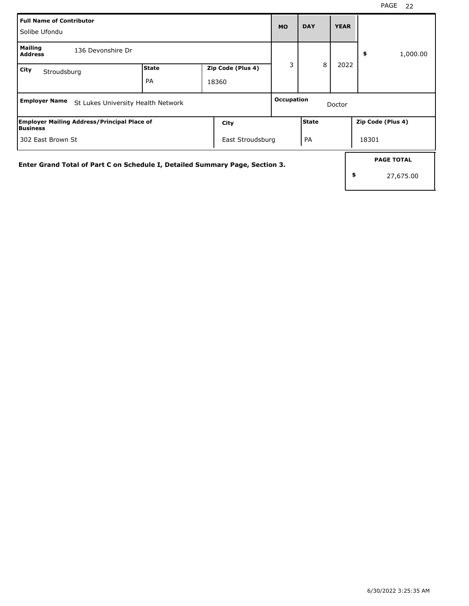| Full Name of Contributor<br>l Solibe Ufondu |                                                    |                    |                                                                              | <b>MO</b>  | <b>DAY</b>   | <b>YEAR</b> |                                      |
|---------------------------------------------|----------------------------------------------------|--------------------|------------------------------------------------------------------------------|------------|--------------|-------------|--------------------------------------|
| <b>Mailing</b><br><b>Address</b>            | 136 Devonshire Dr                                  |                    |                                                                              |            |              |             | 1,000.00<br>\$                       |
| City<br>Stroudsburg                         |                                                    | <b>State</b><br>PA | Zip Code (Plus 4)<br>18360                                                   | 3          | 8            | 2022        |                                      |
| <b>Employer Name</b>                        | St Lukes University Health Network                 |                    |                                                                              | Occupation |              | Doctor      |                                      |
| <b>Business</b>                             | <b>Employer Mailing Address/Principal Place of</b> |                    | City                                                                         |            | <b>State</b> |             | Zip Code (Plus 4)                    |
| 302 East Brown St                           |                                                    |                    | East Stroudsburg                                                             |            | PA           |             | 18301                                |
|                                             |                                                    |                    | Enter Grand Total of Part C on Schedule I, Detailed Summary Page, Section 3. |            |              |             | <b>PAGE TOTAL</b><br>\$<br>27,675.00 |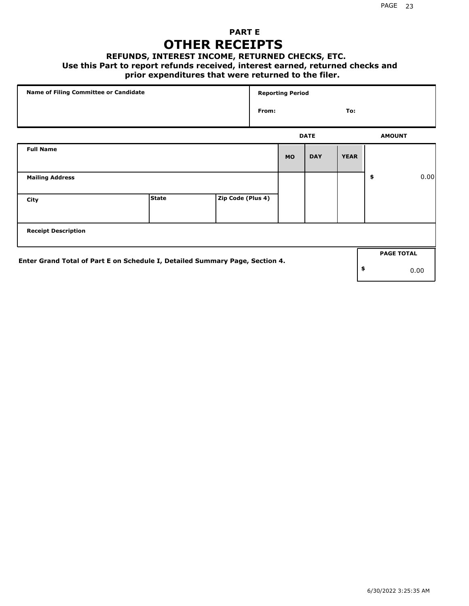### **PART E OTHER RECEIPTS**

#### **REFUNDS, INTEREST INCOME, RETURNED CHECKS, ETC.**

#### **Use this Part to report refunds received, interest earned, returned checks and**

### **prior expenditures that were returned to the filer.**

| Name of Filing Committee or Candidate                                        |              |                   |       | <b>Reporting Period</b> |             |             |                   |      |
|------------------------------------------------------------------------------|--------------|-------------------|-------|-------------------------|-------------|-------------|-------------------|------|
|                                                                              |              |                   | From: |                         |             | To:         |                   |      |
|                                                                              |              |                   |       |                         | <b>DATE</b> |             | <b>AMOUNT</b>     |      |
| <b>Full Name</b>                                                             |              |                   |       | <b>MO</b>               | <b>DAY</b>  | <b>YEAR</b> |                   |      |
| <b>Mailing Address</b>                                                       |              |                   |       |                         |             |             | \$                | 0.00 |
| City                                                                         | <b>State</b> | Zip Code (Plus 4) |       |                         |             |             |                   |      |
| <b>Receipt Description</b>                                                   |              |                   |       |                         |             |             |                   |      |
| Enter Grand Total of Part E on Schedule I, Detailed Summary Page, Section 4. |              |                   |       |                         |             |             | <b>PAGE TOTAL</b> |      |
|                                                                              |              |                   |       |                         |             |             | \$                | 0.00 |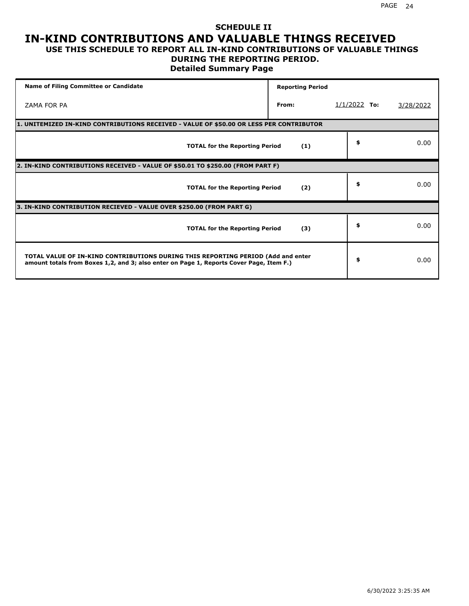# **SCHEDULE II IN-KIND CONTRIBUTIONS AND VALUABLE THINGS RECEIVED**

### **USE THIS SCHEDULE TO REPORT ALL IN-KIND CONTRIBUTIONS OF VALUABLE THINGS DURING THE REPORTING PERIOD.**

**Detailed Summary Page**

| <b>Name of Filing Committee or Candidate</b>                                                                                                                                | <b>Reporting Period</b> |                |           |
|-----------------------------------------------------------------------------------------------------------------------------------------------------------------------------|-------------------------|----------------|-----------|
| ZAMA FOR PA                                                                                                                                                                 | From:                   | $1/1/2022$ To: | 3/28/2022 |
| 1. UNITEMIZED IN-KIND CONTRIBUTIONS RECEIVED - VALUE OF \$50.00 OR LESS PER CONTRIBUTOR                                                                                     |                         |                |           |
| <b>TOTAL for the Reporting Period</b>                                                                                                                                       | (1)                     | \$             | 0.00      |
| 2. IN-KIND CONTRIBUTIONS RECEIVED - VALUE OF \$50.01 TO \$250.00 (FROM PART F)                                                                                              |                         |                |           |
| <b>TOTAL for the Reporting Period</b>                                                                                                                                       | (2)                     | \$             | 0.00      |
| 3. IN-KIND CONTRIBUTION RECIEVED - VALUE OVER \$250.00 (FROM PART G)                                                                                                        |                         |                |           |
| <b>TOTAL for the Reporting Period</b>                                                                                                                                       | (3)                     | \$             | 0.00      |
| TOTAL VALUE OF IN-KIND CONTRIBUTIONS DURING THIS REPORTING PERIOD (Add and enter<br>amount totals from Boxes 1,2, and 3; also enter on Page 1, Reports Cover Page, Item F.) |                         | \$             | 0.00      |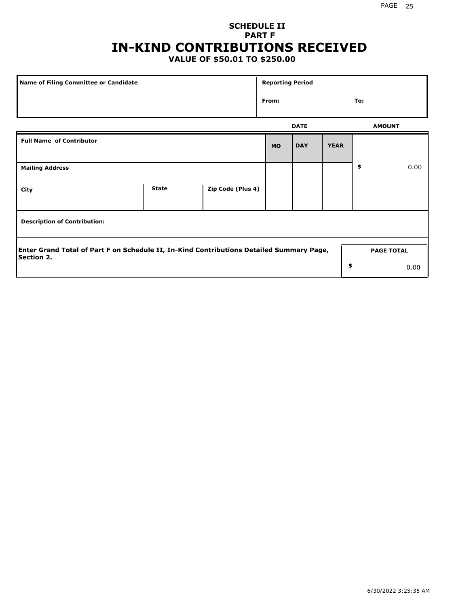## **SCHEDULE II PART F IN-KIND CONTRIBUTIONS RECEIVED**

### **VALUE OF \$50.01 TO \$250.00**

| <b>Name of Filing Committee or Candidate</b>                                                                  |              |                   | <b>Reporting Period</b> |             |             |               |                   |  |
|---------------------------------------------------------------------------------------------------------------|--------------|-------------------|-------------------------|-------------|-------------|---------------|-------------------|--|
| From:                                                                                                         |              |                   |                         |             |             | To:           |                   |  |
|                                                                                                               |              |                   |                         | <b>DATE</b> |             | <b>AMOUNT</b> |                   |  |
| <b>Full Name of Contributor</b>                                                                               |              |                   | <b>MO</b>               | <b>DAY</b>  | <b>YEAR</b> |               |                   |  |
| <b>Mailing Address</b>                                                                                        |              |                   |                         |             |             | \$            | 0.00              |  |
| City                                                                                                          | <b>State</b> | Zip Code (Plus 4) |                         |             |             |               |                   |  |
| <b>Description of Contribution:</b>                                                                           |              |                   |                         |             |             |               |                   |  |
| Enter Grand Total of Part F on Schedule II, In-Kind Contributions Detailed Summary Page,<br><b>Section 2.</b> |              |                   |                         |             |             |               | <b>PAGE TOTAL</b> |  |
|                                                                                                               |              |                   |                         |             | \$          |               | 0.00              |  |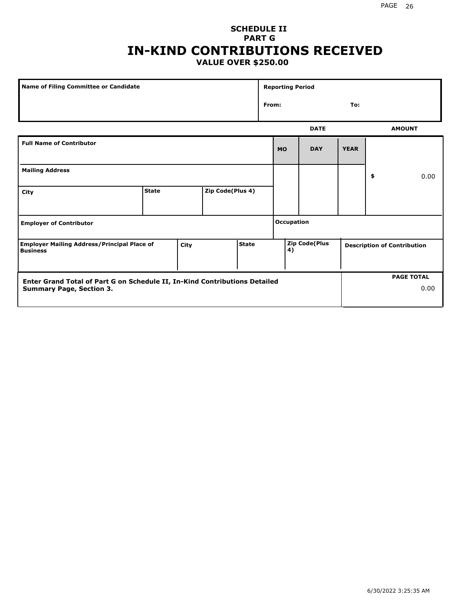### **SCHEDULE II PART G IN-KIND CONTRIBUTIONS RECEIVED VALUE OVER \$250.00**

| Name of Filing Committee or Candidate                                         |              |  |                  | <b>Reporting Period</b> |                            |           |                                    |             |    |                   |
|-------------------------------------------------------------------------------|--------------|--|------------------|-------------------------|----------------------------|-----------|------------------------------------|-------------|----|-------------------|
|                                                                               |              |  |                  |                         | From:                      |           |                                    | To:         |    |                   |
|                                                                               |              |  |                  |                         |                            |           | <b>DATE</b>                        |             |    | <b>AMOUNT</b>     |
| <b>Full Name of Contributor</b>                                               |              |  |                  |                         |                            | <b>MO</b> | <b>DAY</b>                         | <b>YEAR</b> |    |                   |
| <b>Mailing Address</b>                                                        |              |  |                  |                         |                            |           |                                    |             | \$ | 0.00              |
| City                                                                          | <b>State</b> |  | Zip Code(Plus 4) |                         |                            |           |                                    |             |    |                   |
| <b>Employer of Contributor</b>                                                |              |  |                  |                         | <b>Occupation</b>          |           |                                    |             |    |                   |
| <b>Employer Mailing Address/Principal Place of</b><br>City<br><b>Business</b> |              |  | <b>State</b>     |                         | <b>Zip Code(Plus</b><br>4) |           | <b>Description of Contribution</b> |             |    |                   |
| Enter Grand Total of Part G on Schedule II, In-Kind Contributions Detailed    |              |  |                  |                         |                            |           |                                    |             |    | <b>PAGE TOTAL</b> |
| <b>Summary Page, Section 3.</b>                                               |              |  |                  |                         |                            |           |                                    |             |    | 0.00              |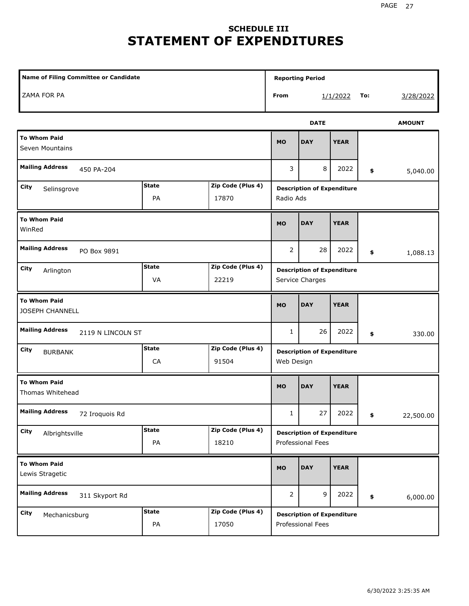# **SCHEDULE III STATEMENT OF EXPENDITURES**

| <b>Name of Filing Committee or Candidate</b>  |                    |                            | <b>Reporting Period</b>                              |                                                        |             |    |               |
|-----------------------------------------------|--------------------|----------------------------|------------------------------------------------------|--------------------------------------------------------|-------------|----|---------------|
| ZAMA FOR PA                                   |                    |                            | From<br>To:<br>1/1/2022                              |                                                        |             |    | 3/28/2022     |
|                                               |                    |                            |                                                      | <b>DATE</b>                                            |             |    | <b>AMOUNT</b> |
| <b>To Whom Paid</b><br>Seven Mountains        |                    |                            | <b>MO</b>                                            | <b>DAY</b>                                             | <b>YEAR</b> |    |               |
| <b>Mailing Address</b><br>450 PA-204          |                    |                            | 3                                                    | 8                                                      | 2022        | \$ | 5,040.00      |
| City<br>Selinsgrove                           | <b>State</b><br>PA | Zip Code (Plus 4)<br>17870 | <b>Description of Expenditure</b><br>Radio Ads       |                                                        |             |    |               |
| <b>To Whom Paid</b><br>WinRed                 |                    |                            | <b>MO</b>                                            | <b>DAY</b>                                             | <b>YEAR</b> |    |               |
| <b>Mailing Address</b><br>PO Box 9891         |                    |                            | 2                                                    | 28                                                     | 2022        | \$ | 1,088.13      |
| City<br>Arlington                             | <b>State</b><br>VA | Zip Code (Plus 4)<br>22219 | <b>Description of Expenditure</b><br>Service Charges |                                                        |             |    |               |
| <b>To Whom Paid</b><br><b>JOSEPH CHANNELL</b> |                    |                            | <b>MO</b>                                            | <b>DAY</b>                                             | <b>YEAR</b> |    |               |
| <b>Mailing Address</b><br>2119 N LINCOLN ST   |                    |                            | 1                                                    | 26                                                     | 2022        | \$ | 330.00        |
| City<br><b>BURBANK</b>                        | <b>State</b><br>CA | Zip Code (Plus 4)<br>91504 | <b>Description of Expenditure</b><br>Web Design      |                                                        |             |    |               |
| <b>To Whom Paid</b><br>Thomas Whitehead       |                    |                            | <b>MO</b>                                            | <b>DAY</b>                                             | <b>YEAR</b> |    |               |
| <b>Mailing Address</b><br>72 Iroquois Rd      |                    |                            | $\mathbf{1}$                                         | 27                                                     | 2022        | \$ | 22,500.00     |
| City<br>Albrightsville                        | <b>State</b><br>PA | Zip Code (Plus 4)<br>18210 |                                                      | <b>Description of Expenditure</b><br>Professional Fees |             |    |               |
| <b>To Whom Paid</b><br>Lewis Stragetic        |                    |                            | <b>MO</b>                                            | <b>DAY</b>                                             | <b>YEAR</b> |    |               |
| <b>Mailing Address</b><br>311 Skyport Rd      |                    |                            | $\overline{2}$                                       | 9                                                      | 2022        | \$ | 6,000.00      |
| City<br>Mechanicsburg                         | <b>State</b><br>PA | Zip Code (Plus 4)<br>17050 |                                                      | <b>Description of Expenditure</b><br>Professional Fees |             |    |               |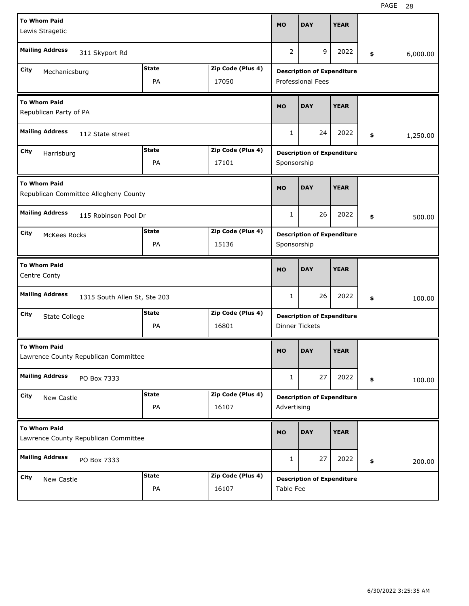| <b>To Whom Paid</b>                                              |              |                   |                                   |                                   |             |    |          |  |
|------------------------------------------------------------------|--------------|-------------------|-----------------------------------|-----------------------------------|-------------|----|----------|--|
| <b>MO</b><br>Lewis Stragetic                                     |              |                   |                                   | <b>DAY</b>                        | <b>YEAR</b> |    |          |  |
| <b>Mailing Address</b><br>311 Skyport Rd                         |              |                   | $\overline{2}$                    | 9                                 | 2022        | \$ | 6,000.00 |  |
| City<br>Mechanicsburg                                            | <b>State</b> | Zip Code (Plus 4) |                                   | <b>Description of Expenditure</b> |             |    |          |  |
| PA<br>17050                                                      |              |                   |                                   | <b>Professional Fees</b>          |             |    |          |  |
| <b>To Whom Paid</b><br>Republican Party of PA                    |              |                   |                                   | <b>DAY</b>                        | <b>YEAR</b> |    |          |  |
| <b>Mailing Address</b><br>112 State street                       |              |                   | 1                                 | 24                                | 2022        | \$ | 1,250.00 |  |
| City<br>Harrisburg                                               | <b>State</b> | Zip Code (Plus 4) |                                   | <b>Description of Expenditure</b> |             |    |          |  |
|                                                                  | PA           | 17101             | Sponsorship                       |                                   |             |    |          |  |
| <b>To Whom Paid</b><br>Republican Committee Allegheny County     |              |                   |                                   | <b>DAY</b>                        | <b>YEAR</b> |    |          |  |
| <b>Mailing Address</b><br>115 Robinson Pool Dr                   |              |                   | 1                                 | 26                                | 2022        | \$ | 500.00   |  |
| <b>State</b><br>Zip Code (Plus 4)<br>City<br><b>McKees Rocks</b> |              |                   | <b>Description of Expenditure</b> |                                   |             |    |          |  |
|                                                                  | PA           | 15136             | Sponsorship                       |                                   |             |    |          |  |
| <b>To Whom Paid</b><br>Centre Conty                              |              |                   |                                   |                                   |             |    |          |  |
|                                                                  |              |                   | <b>MO</b>                         | <b>DAY</b>                        | <b>YEAR</b> |    |          |  |
| <b>Mailing Address</b><br>1315 South Allen St, Ste 203           |              |                   | 1                                 | 26                                | 2022        | \$ | 100.00   |  |
| City                                                             | <b>State</b> | Zip Code (Plus 4) |                                   | <b>Description of Expenditure</b> |             |    |          |  |
| State College                                                    | PA           | 16801             |                                   | <b>Dinner Tickets</b>             |             |    |          |  |
| <b>To Whom Paid</b><br>Lawrence County Republican Committee      |              |                   | <b>MO</b>                         | <b>DAY</b>                        | <b>YEAR</b> |    |          |  |
| <b>Mailing Address</b><br>PO Box 7333                            |              |                   | 1                                 | 27                                | 2022        | \$ | 100.00   |  |
| City                                                             | <b>State</b> | Zip Code (Plus 4) |                                   | <b>Description of Expenditure</b> |             |    |          |  |
| New Castle                                                       | PA           | 16107             | Advertising                       |                                   |             |    |          |  |
| <b>To Whom Paid</b><br>Lawrence County Republican Committee      |              |                   | <b>MO</b>                         | <b>DAY</b>                        | <b>YEAR</b> |    |          |  |
| <b>Mailing Address</b><br>PO Box 7333                            |              |                   | 1                                 | 27                                | 2022        | \$ | 200.00   |  |
| City<br>New Castle                                               | <b>State</b> | Zip Code (Plus 4) |                                   | <b>Description of Expenditure</b> |             |    |          |  |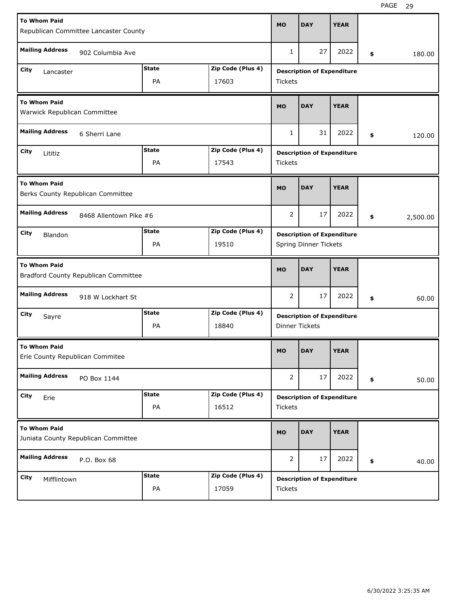| <b>To Whom Paid</b><br>Republican Committee Lancaster County          |                                     |                    |                            | <b>MO</b>             | <b>DAY</b>                                                 | <b>YEAR</b> |                |
|-----------------------------------------------------------------------|-------------------------------------|--------------------|----------------------------|-----------------------|------------------------------------------------------------|-------------|----------------|
| <b>Mailing Address</b>                                                | 902 Columbia Ave                    |                    |                            |                       |                                                            | 2022        | \$<br>180.00   |
| <b>State</b><br>Zip Code (Plus 4)<br>City<br>Lancaster<br>PA<br>17603 |                                     |                    |                            |                       | <b>Description of Expenditure</b><br><b>Tickets</b>        |             |                |
| <b>To Whom Paid</b><br>Warwick Republican Committee                   |                                     |                    |                            |                       | <b>DAY</b>                                                 | <b>YEAR</b> |                |
| <b>Mailing Address</b>                                                | 6 Sherri Lane                       |                    |                            | 1                     | 31                                                         | 2022        | \$<br>120.00   |
| City<br>Lititiz                                                       |                                     | <b>State</b><br>PA | Zip Code (Plus 4)<br>17543 | <b>Tickets</b>        | <b>Description of Expenditure</b>                          |             |                |
| <b>To Whom Paid</b>                                                   | Berks County Republican Committee   |                    |                            | <b>MO</b>             | <b>DAY</b>                                                 | <b>YEAR</b> |                |
| <b>Mailing Address</b>                                                | 8468 Allentown Pike #6              |                    |                            |                       |                                                            | 2022        | \$<br>2,500.00 |
| City<br>Blandon                                                       |                                     | <b>State</b><br>PA | Zip Code (Plus 4)<br>19510 |                       | <b>Description of Expenditure</b><br>Spring Dinner Tickets |             |                |
| <b>To Whom Paid</b><br>Bradford County Republican Committee           |                                     |                    |                            |                       |                                                            |             |                |
|                                                                       |                                     |                    |                            | <b>MO</b>             | <b>DAY</b>                                                 | <b>YEAR</b> |                |
| <b>Mailing Address</b>                                                | 918 W Lockhart St                   |                    |                            | 2                     | 17                                                         | 2022        | \$<br>60.00    |
| City<br>Sayre                                                         |                                     | <b>State</b><br>PA | Zip Code (Plus 4)<br>18840 | <b>Dinner Tickets</b> | <b>Description of Expenditure</b>                          |             |                |
| <b>To Whom Paid</b><br>Erie County Republican Commitee                |                                     |                    |                            | <b>MO</b>             | <b>DAY</b>                                                 | <b>YEAR</b> |                |
| <b>Mailing Address</b>                                                | PO Box 1144                         |                    |                            | $\overline{2}$        | 17                                                         | 2022        | \$<br>50.00    |
| City<br>Erie                                                          |                                     | <b>State</b><br>PA | Zip Code (Plus 4)<br>16512 | Tickets               | <b>Description of Expenditure</b>                          |             |                |
| <b>To Whom Paid</b>                                                   | Juniata County Republican Committee |                    |                            | <b>MO</b>             | <b>DAY</b>                                                 | <b>YEAR</b> |                |
| <b>Mailing Address</b>                                                | P.O. Box 68                         |                    |                            | 2                     | 17                                                         | 2022        | \$<br>40.00    |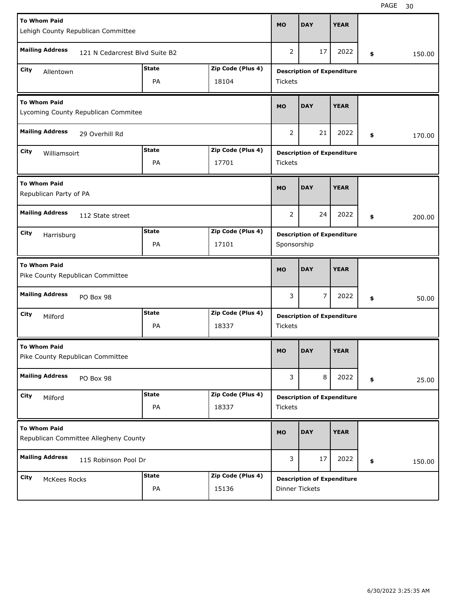| <b>To Whom Paid</b><br>Lehigh County Republican Committee    |                                   |                   |                                   | <b>DAY</b>                        | <b>YEAR</b> |    |        |  |  |
|--------------------------------------------------------------|-----------------------------------|-------------------|-----------------------------------|-----------------------------------|-------------|----|--------|--|--|
| <b>Mailing Address</b><br>121 N Cedarcrest Blvd Suite B2     | 2                                 | 17                | 2022                              | \$                                | 150.00      |    |        |  |  |
| City<br>Allentown                                            | <b>Description of Expenditure</b> |                   |                                   |                                   |             |    |        |  |  |
| Zip Code (Plus 4)<br>PA<br>18104                             |                                   |                   |                                   | <b>Tickets</b>                    |             |    |        |  |  |
| <b>To Whom Paid</b><br>Lycoming County Republican Commitee   |                                   |                   |                                   | <b>DAY</b>                        | <b>YEAR</b> |    |        |  |  |
| <b>Mailing Address</b><br>29 Overhill Rd                     |                                   |                   | 2                                 | 21                                | 2022        | \$ | 170.00 |  |  |
| City<br>Williamsoirt                                         | <b>State</b>                      | Zip Code (Plus 4) |                                   | <b>Description of Expenditure</b> |             |    |        |  |  |
|                                                              | PA                                | 17701             | <b>Tickets</b>                    |                                   |             |    |        |  |  |
| <b>To Whom Paid</b><br>Republican Party of PA                |                                   |                   | <b>MO</b>                         | <b>DAY</b>                        | <b>YEAR</b> |    |        |  |  |
| <b>Mailing Address</b><br>112 State street                   |                                   |                   | 2                                 | 24                                | 2022        | \$ | 200.00 |  |  |
| <b>State</b><br>Zip Code (Plus 4)<br>City<br>Harrisburg      |                                   |                   | <b>Description of Expenditure</b> |                                   |             |    |        |  |  |
|                                                              | PA                                | 17101             | Sponsorship                       |                                   |             |    |        |  |  |
| <b>To Whom Paid</b><br>Pike County Republican Committee      |                                   |                   |                                   |                                   |             |    |        |  |  |
|                                                              |                                   |                   | <b>MO</b>                         | <b>DAY</b>                        | <b>YEAR</b> |    |        |  |  |
| <b>Mailing Address</b><br>PO Box 98                          |                                   |                   | 3                                 | 7                                 | 2022        | \$ | 50.00  |  |  |
| City                                                         | <b>State</b>                      | Zip Code (Plus 4) |                                   |                                   |             |    |        |  |  |
| Milford                                                      | PA                                | 18337             | <b>Tickets</b>                    | <b>Description of Expenditure</b> |             |    |        |  |  |
| <b>To Whom Paid</b><br>Pike County Republican Committee      |                                   |                   | <b>MO</b>                         | <b>DAY</b>                        | <b>YEAR</b> |    |        |  |  |
| <b>Mailing Address</b><br>PO Box 98                          |                                   |                   | 3                                 | 8                                 | 2022        | \$ | 25.00  |  |  |
| City                                                         | <b>State</b>                      | Zip Code (Plus 4) |                                   | <b>Description of Expenditure</b> |             |    |        |  |  |
| Milford                                                      | PA                                | 18337             | <b>Tickets</b>                    |                                   |             |    |        |  |  |
| <b>To Whom Paid</b><br>Republican Committee Allegheny County |                                   |                   | <b>MO</b>                         | <b>DAY</b>                        | <b>YEAR</b> |    |        |  |  |
| <b>Mailing Address</b><br>115 Robinson Pool Dr               |                                   |                   | 3                                 | 17                                | 2022        | \$ | 150.00 |  |  |
| City<br><b>McKees Rocks</b>                                  | <b>State</b>                      | Zip Code (Plus 4) |                                   | <b>Description of Expenditure</b> |             |    |        |  |  |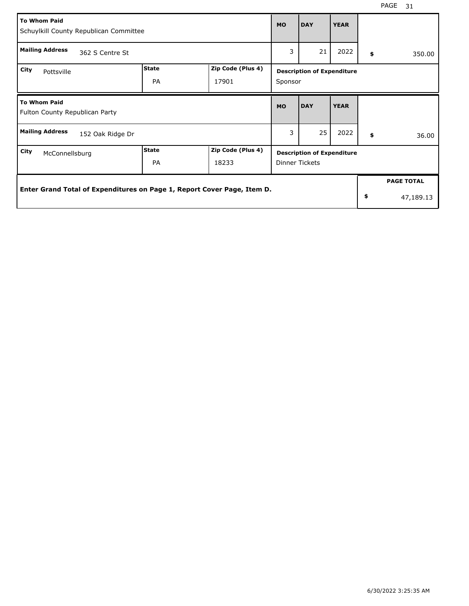| <b>To Whom Paid</b><br>Schuylkill County Republican Committee           |                    |                            | <b>MO</b>                                           | <b>DAY</b> | <b>YEAR</b> |    |                   |
|-------------------------------------------------------------------------|--------------------|----------------------------|-----------------------------------------------------|------------|-------------|----|-------------------|
| <b>Mailing Address</b><br>362 S Centre St                               |                    |                            |                                                     | 21         | 2022        | \$ | 350.00            |
| City<br>Pottsville                                                      | <b>State</b><br>PA | Zip Code (Plus 4)<br>17901 | <b>Description of Expenditure</b><br>Sponsor        |            |             |    |                   |
| <b>To Whom Paid</b><br>Fulton County Republican Party                   |                    |                            | <b>MO</b>                                           | <b>DAY</b> | <b>YEAR</b> |    |                   |
| <b>Mailing Address</b><br>152 Oak Ridge Dr                              |                    |                            | 3                                                   | 25         | 2022        | \$ | 36.00             |
| City<br>McConnellsburg                                                  | State<br><b>PA</b> | Zip Code (Plus 4)<br>18233 | <b>Description of Expenditure</b><br>Dinner Tickets |            |             |    |                   |
| Enter Grand Total of Expenditures on Page 1, Report Cover Page, Item D. |                    |                            |                                                     |            |             |    | <b>PAGE TOTAL</b> |
|                                                                         |                    |                            |                                                     |            |             | \$ | 47,189.13         |